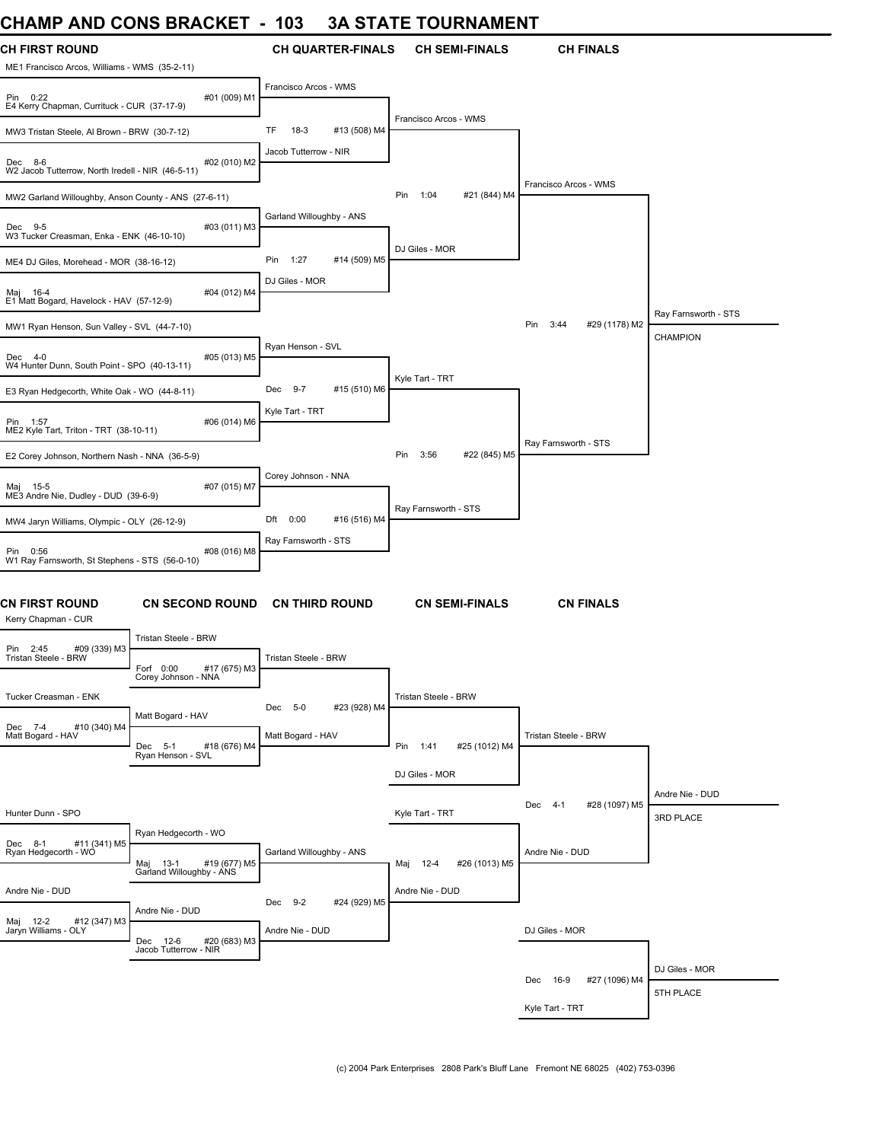### **CHAMP AND CONS BRACKET - 103 3A STATE TOURNAMENT**

| UNAIVIM AINU UUNJ DRAUNET                                                                    | - 109                          | JA JIAIE IUURNAMENI         |                                 |                                  |
|----------------------------------------------------------------------------------------------|--------------------------------|-----------------------------|---------------------------------|----------------------------------|
| <b>CH FIRST ROUND</b><br>ME1 Francisco Arcos, Williams - WMS (35-2-11)                       | <b>CH QUARTER-FINALS</b>       | <b>CH SEMI-FINALS</b>       | <b>CH FINALS</b>                |                                  |
| #01 (009) M1<br>Pin 0:22<br>E4 Kerry Chapman, Currituck - CUR (37-17-9)                      | Francisco Arcos - WMS          |                             |                                 |                                  |
| MW3 Tristan Steele, Al Brown - BRW (30-7-12)                                                 | TF<br>$18-3$<br>#13 (508) M4   | Francisco Arcos - WMS       |                                 |                                  |
| #02 (010) M2<br>Dec 8-6<br>W2 Jacob Tutterrow, North Iredell - NIR (46-5-11)                 | Jacob Tutterrow - NIR          |                             |                                 |                                  |
| MW2 Garland Willoughby, Anson County - ANS (27-6-11)                                         |                                | Pin<br>1:04<br>#21 (844) M4 | Francisco Arcos - WMS           |                                  |
| #03 (011) M3<br>Dec 9-5<br>W3 Tucker Creasman, Enka - ENK (46-10-10)                         | Garland Willoughby - ANS       |                             |                                 |                                  |
| ME4 DJ Giles, Morehead - MOR (38-16-12)                                                      | Pin 1:27<br>#14 (509) M5       | DJ Giles - MOR              |                                 |                                  |
| Maj 16-4<br>#04 (012) M4<br>E1 Matt Bogard, Havelock - HAV (57-12-9)                         | DJ Giles - MOR                 |                             |                                 |                                  |
| MW1 Ryan Henson, Sun Valley - SVL (44-7-10)                                                  |                                |                             | #29 (1178) M2<br>Pin<br>3:44    | Ray Farnsworth - STS<br>CHAMPION |
| #05 (013) M5<br>Dec 4-0<br>W4 Hunter Dunn, South Point - SPO (40-13-11)                      | Ryan Henson - SVL              |                             |                                 |                                  |
| E3 Ryan Hedgecorth, White Oak - WO (44-8-11)                                                 | $9 - 7$<br>#15 (510) M6<br>Dec | Kyle Tart - TRT             |                                 |                                  |
| #06 (014) M6<br>Pin 1:57<br>ME2 Kyle Tart, Triton - TRT (38-10-11)                           | Kyle Tart - TRT                |                             |                                 |                                  |
| E2 Corey Johnson, Northern Nash - NNA (36-5-9)                                               |                                | Pin<br>3:56<br>#22 (845) M5 | Ray Farnsworth - STS            |                                  |
| #07 (015) M7<br>Maj 15-5<br>ME3 Andre Nie, Dudley - DUD (39-6-9)                             | Corey Johnson - NNA            |                             |                                 |                                  |
| MW4 Jaryn Williams, Olympic - OLY (26-12-9)                                                  | Dft 0:00<br>#16 (516) M4       | Ray Farnsworth - STS        |                                 |                                  |
| Pin 0:56<br>#08 (016) M8<br>W1 Ray Farnsworth, St Stephens - STS (56-0-10)                   | Ray Farnsworth - STS           |                             |                                 |                                  |
| <b>CN FIRST ROUND</b><br><b>CN SECOND ROUND</b><br>Kerry Chapman - CUR                       | <b>CN THIRD ROUND</b>          | <b>CN SEMI-FINALS</b>       | <b>CN FINALS</b>                |                                  |
| Tristan Steele - BRW<br>#09 (339) M3<br>Pin 2:45                                             |                                |                             |                                 |                                  |
| Tristan Steele - BRW<br>Forf 0:00<br>#17 (675) M3<br>Corey Johnson - NNA                     | Tristan Steele - BRW           |                             |                                 |                                  |
| Tucker Creasman - ENK<br>Matt Bogard - HAV                                                   | Dec 5-0<br>#23 (928) M4        | Tristan Steele - BRW        |                                 |                                  |
| Dec 7-4<br>#10 (340) M4<br>Matt Bogard - HAV<br>Dec 5-1<br>#18 (676) M4<br>Ryan Henson - SVL | Matt Bogard - HAV              | Pin 1:41<br>#25 (1012) M4   | Tristan Steele - BRW            |                                  |
|                                                                                              |                                | DJ Giles - MOR              |                                 |                                  |
| Hunter Dunn - SPO                                                                            |                                | Kyle Tart - TRT             | #28 (1097) M5<br>$4 - 1$<br>Dec | Andre Nie - DUD<br>3RD PLACE     |
| Ryan Hedgecorth - WO<br>#11 (341) M5<br>Dec 8-1<br>Ryan Hedgecorth - WO                      | Garland Willoughby - ANS       | #26 (1013) M5<br>Maj 12-4   | Andre Nie - DUD                 |                                  |
| Maj 13-1 #19 (677) M5<br>Garland Willoughby - ANS<br>Andre Nie - DUD                         |                                | Andre Nie - DUD             |                                 |                                  |
| Andre Nie - DUD<br>#12 (347) M3                                                              | Dec 9-2<br>#24 (929) M5        |                             |                                 |                                  |
| Maj 12-2 #12<br>Jaryn Williams - OLY<br>Dec 12-6<br>#20 (683) M3<br>Jacob Tutterrow - NIR    | Andre Nie - DUD                |                             | DJ Giles - MOR                  |                                  |
|                                                                                              |                                |                             | #27 (1096) M4<br>16-9<br>Dec    | DJ Giles - MOR                   |
|                                                                                              |                                |                             |                                 | 5TH PLACE                        |
|                                                                                              |                                |                             | Kyle Tart - TRT                 |                                  |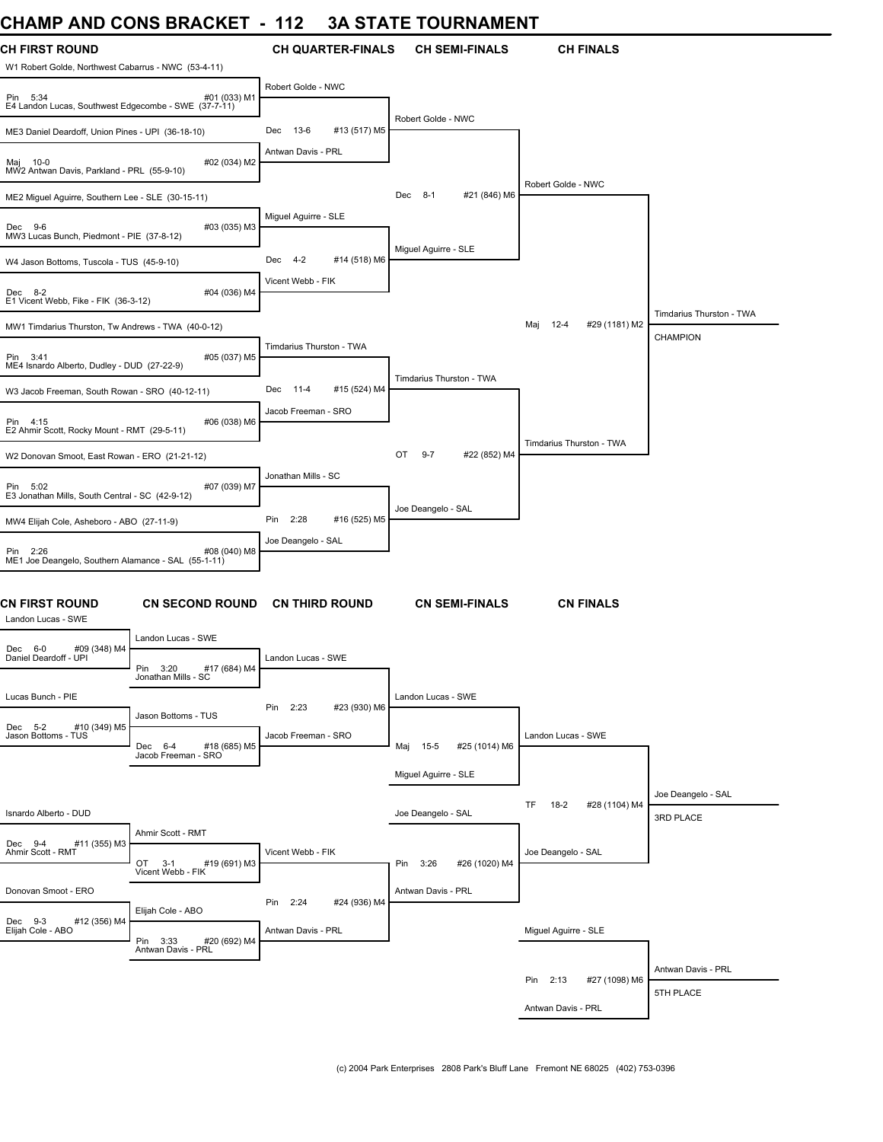# **CHAMP AND CONS BRACKET - 112 3A STATE TOURNAMENT**

| <b>CH FIRST ROUND</b>                                            |                                                | <b>CH QUARTER-FINALS</b>       | <b>CH SEMI-FINALS</b>         | <b>CH FINALS</b>                     |                          |
|------------------------------------------------------------------|------------------------------------------------|--------------------------------|-------------------------------|--------------------------------------|--------------------------|
| W1 Robert Golde, Northwest Cabarrus - NWC (53-4-11)              |                                                | Robert Golde - NWC             |                               |                                      |                          |
| Pin 5:34<br>E4 Landon Lucas, Southwest Edgecombe - SWE (37-7-11) | #01 (033) M1                                   |                                | Robert Golde - NWC            |                                      |                          |
| ME3 Daniel Deardoff, Union Pines - UPI (36-18-10)                |                                                | Dec 13-6<br>#13 (517) M5       |                               |                                      |                          |
| Maj 10-0<br>MW2 Antwan Davis, Parkland - PRL (55-9-10)           | #02 (034) M2                                   | Antwan Davis - PRL             |                               |                                      |                          |
| ME2 Miguel Aguirre, Southern Lee - SLE (30-15-11)                |                                                |                                | Dec<br>$8-1$<br>#21 (846) M6  | Robert Golde - NWC                   |                          |
| Dec 9-6<br>MW3 Lucas Bunch, Piedmont - PIE (37-8-12)             | #03 (035) M3                                   | Miguel Aguirre - SLE           |                               |                                      |                          |
| W4 Jason Bottoms, Tuscola - TUS (45-9-10)                        |                                                | Dec<br>$4 - 2$<br>#14 (518) M6 | Miguel Aguirre - SLE          |                                      |                          |
| Dec 8-2<br>E1 Vicent Webb, Fike - FIK (36-3-12)                  | #04 (036) M4                                   | Vicent Webb - FIK              |                               |                                      |                          |
| MW1 Timdarius Thurston, Tw Andrews - TWA (40-0-12)               |                                                |                                |                               | Maj<br>$12 - 4$<br>#29 (1181) M2     | Timdarius Thurston - TWA |
| Pin 3:41<br>ME4 Isnardo Alberto, Dudley - DUD (27-22-9)          | #05 (037) M5                                   | Timdarius Thurston - TWA       |                               |                                      | CHAMPION                 |
|                                                                  |                                                | #15 (524) M4<br>Dec 11-4       | Timdarius Thurston - TWA      |                                      |                          |
| W3 Jacob Freeman, South Rowan - SRO (40-12-11)                   |                                                | Jacob Freeman - SRO            |                               |                                      |                          |
| Pin 4:15<br>E2 Ahmir Scott, Rocky Mount - RMT (29-5-11)          | #06 (038) M6                                   |                                |                               |                                      |                          |
| W2 Donovan Smoot, East Rowan - ERO (21-21-12)                    |                                                |                                | OT<br>$9 - 7$<br>#22 (852) M4 | Timdarius Thurston - TWA             |                          |
|                                                                  |                                                | Jonathan Mills - SC            |                               |                                      |                          |
| Pin 5:02<br>E3 Jonathan Mills, South Central - SC (42-9-12)      | #07 (039) M7                                   |                                |                               |                                      |                          |
| MW4 Elijah Cole, Asheboro - ABO (27-11-9)                        |                                                | Pin 2:28<br>#16 (525) M5       | Joe Deangelo - SAL            |                                      |                          |
| Pin 2:26                                                         | #08 (040) M8                                   | Joe Deangelo - SAL             |                               |                                      |                          |
| ME1 Joe Deangelo, Southern Alamance - SAL (55-1-11)              |                                                |                                |                               |                                      |                          |
| <b>CN FIRST ROUND</b><br>Landon Lucas - SWE                      | <b>CN SECOND ROUND</b>                         | <b>CN THIRD ROUND</b>          | <b>CN SEMI-FINALS</b>         | <b>CN FINALS</b>                     |                          |
|                                                                  | Landon Lucas - SWE                             |                                |                               |                                      |                          |
| Dec 6-0<br>#09 (348) M4<br>Daniel Deardoff - UPI                 | Pin 3:20<br>#17 (684) M4                       | Landon Lucas - SWE             |                               |                                      |                          |
|                                                                  | Jonathan Mills - SC                            |                                |                               |                                      |                          |
| Lucas Bunch - PIE                                                |                                                | Pin 2:23<br>#23 (930) M6       | Landon Lucas - SWE            |                                      |                          |
| Dec 5-2<br>#10 (349) M5<br>Jason Bottoms - TUS                   | Jason Bottoms - TUS                            | Jacob Freeman - SRO            |                               | Landon Lucas - SWE                   |                          |
|                                                                  | #18 (685) M5<br>Dec 6-4<br>Jacob Freeman - SRO |                                | Maj 15-5<br>#25 (1014) M6     |                                      |                          |
|                                                                  |                                                |                                | Miguel Aguirre - SLE          |                                      |                          |
|                                                                  |                                                |                                |                               | <b>TF</b><br>$18-2$<br>#28 (1104) M4 | Joe Deangelo - SAL       |
| Isnardo Alberto - DUD                                            |                                                |                                | Joe Deangelo - SAL            |                                      | 3RD PLACE                |
| Dec 9-4<br>#11 (355) M3<br>Ahmir Scott - RMT                     | Ahmir Scott - RMT                              | Vicent Webb - FIK              |                               | Joe Deangelo - SAL                   |                          |
|                                                                  | OT 3-1<br>#19 (691) M3<br>Vicent Webb - FIK    |                                | #26 (1020) M4<br>Pin 3:26     |                                      |                          |
| Donovan Smoot - ERO                                              |                                                |                                | Antwan Davis - PRL            |                                      |                          |
|                                                                  | Elijah Cole - ABO                              | 2:24<br>#24 (936) M4<br>Pin    |                               |                                      |                          |
| Dec 9-3<br>Elijah Cole - ABO<br>#12 (356) M4                     | Pin 3:33<br>#20 (692) M4                       | Antwan Davis - PRL             |                               | Miguel Aguirre - SLE                 |                          |
|                                                                  | Antwan Davis - PRL                             |                                |                               |                                      |                          |
|                                                                  |                                                |                                |                               | Pin 2:13<br>#27 (1098) M6            | Antwan Davis - PRL       |
|                                                                  |                                                |                                |                               | Antwan Davis - PRL                   | 5TH PLACE                |
|                                                                  |                                                |                                |                               |                                      |                          |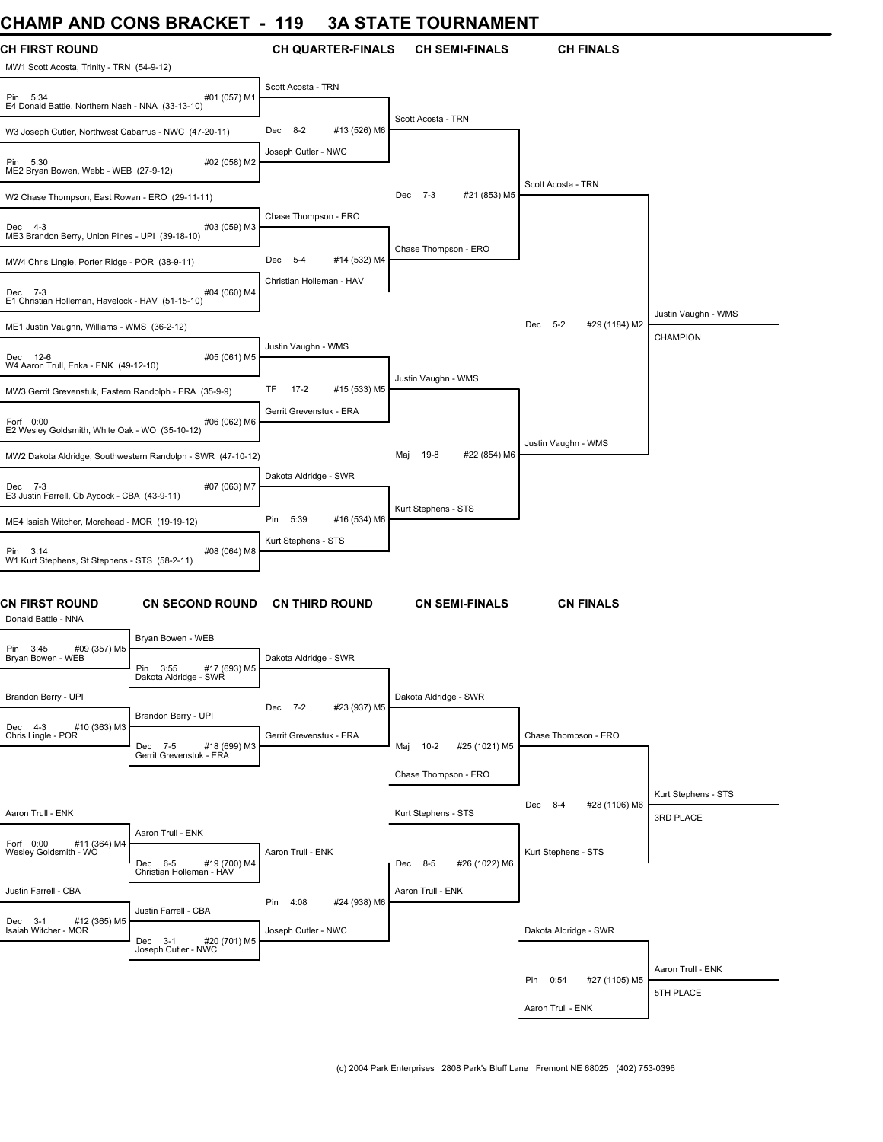### **CHAMP AND CONS BRACKET - 119 3A STATE TOURNAMENT**

| JI IAIVII<br>AN P                                                  | <b>UVINU PIVAVINE I</b>                                                   |                                | <b>UIAILIVUINMAINENI</b> |               |                                 |                     |
|--------------------------------------------------------------------|---------------------------------------------------------------------------|--------------------------------|--------------------------|---------------|---------------------------------|---------------------|
| <b>CH FIRST ROUND</b><br>MW1 Scott Acosta, Trinity - TRN (54-9-12) |                                                                           | <b>CH QUARTER-FINALS</b>       | <b>CH SEMI-FINALS</b>    |               | <b>CH FINALS</b>                |                     |
| Pin 5:34<br>E4 Donald Battle, Northern Nash - NNA (33-13-10)       | #01 (057) M1                                                              | Scott Acosta - TRN             |                          |               |                                 |                     |
| W3 Joseph Cutler, Northwest Cabarrus - NWC (47-20-11)              |                                                                           | Dec 8-2<br>#13 (526) M6        | Scott Acosta - TRN       |               |                                 |                     |
| Pin 5:30<br>ME2 Bryan Bowen, Webb - WEB (27-9-12)                  | #02 (058) M2                                                              | Joseph Cutler - NWC            |                          |               |                                 |                     |
| W2 Chase Thompson, East Rowan - ERO (29-11-11)                     |                                                                           |                                | Dec 7-3                  | #21 (853) M5  | Scott Acosta - TRN              |                     |
| Dec 4-3<br>ME3 Brandon Berry, Union Pines - UPI (39-18-10)         | #03 (059) M3                                                              | Chase Thompson - ERO           |                          |               |                                 |                     |
| MW4 Chris Lingle, Porter Ridge - POR (38-9-11)                     |                                                                           | $5 - 4$<br>#14 (532) M4<br>Dec | Chase Thompson - ERO     |               |                                 |                     |
| Dec 7-3<br>E1 Christian Holleman, Havelock - HAV (51-15-10)        | #04 (060) M4                                                              | Christian Holleman - HAV       |                          |               |                                 |                     |
| ME1 Justin Vaughn, Williams - WMS (36-2-12)                        |                                                                           |                                |                          |               | $5 - 2$<br>#29 (1184) M2<br>Dec | Justin Vaughn - WMS |
| Dec 12-6<br>W4 Aaron Trull, Enka - ENK (49-12-10)                  | #05 (061) M5                                                              | Justin Vaughn - WMS            |                          |               |                                 | CHAMPION            |
| MW3 Gerrit Grevenstuk, Eastern Randolph - ERA (35-9-9)             |                                                                           | TF<br>$17 - 2$<br>#15 (533) M5 | Justin Vaughn - WMS      |               |                                 |                     |
| Forf 0:00<br>E2 Wesley Goldsmith, White Oak - WO (35-10-12)        | #06 (062) M6                                                              | Gerrit Grevenstuk - ERA        |                          |               |                                 |                     |
| MW2 Dakota Aldridge, Southwestern Randolph - SWR (47-10-12)        |                                                                           |                                | 19-8<br>Maj              | #22 (854) M6  | Justin Vaughn - WMS             |                     |
| Dec 7-3<br>E3 Justin Farrell, Cb Aycock - CBA (43-9-11)            | #07 (063) M7                                                              | Dakota Aldridge - SWR          |                          |               |                                 |                     |
| ME4 Isaiah Witcher, Morehead - MOR (19-19-12)                      |                                                                           | Pin<br>5:39<br>#16 (534) M6    | Kurt Stephens - STS      |               |                                 |                     |
| Pin 3:14<br>W1 Kurt Stephens, St Stephens - STS (58-2-11)          | #08 (064) M8                                                              | Kurt Stephens - STS            |                          |               |                                 |                     |
| <b>CN FIRST ROUND</b><br>Donald Battle - NNA                       | <b>CN SECOND ROUND</b>                                                    | <b>CN THIRD ROUND</b>          | <b>CN SEMI-FINALS</b>    |               | <b>CN FINALS</b>                |                     |
| #09 (357) M5<br>Pin 3:45                                           | Bryan Bowen - WEB                                                         |                                |                          |               |                                 |                     |
| Bryan Bowen - WEB                                                  | Pin<br>#17 (693) M5<br>3:55<br>Dakota Aldridge - SWR                      | Dakota Aldridge - SWR          |                          |               |                                 |                     |
| Brandon Berry - UPI                                                |                                                                           | Dec 7-2<br>#23 (937) M5        | Dakota Aldridge - SWR    |               |                                 |                     |
| Dec 4-3<br>#10 (363) M3<br>Chris Lingle - POR                      | Brandon Berry - UPI<br>Dec 7-5<br>#18 (699) M3<br>Gerrit Grevenstuk - ERA | Gerrit Grevenstuk - ERA        | $10 - 2$<br>Maj          | #25 (1021) M5 | Chase Thompson - ERO            |                     |
|                                                                    |                                                                           |                                | Chase Thompson - ERO     |               |                                 |                     |
| Aaron Trull - ENK                                                  |                                                                           |                                | Kurt Stephens - STS      |               | #28 (1106) M6<br>Dec<br>8-4     | Kurt Stephens - STS |
|                                                                    | Aaron Trull - ENK                                                         |                                |                          |               |                                 | 3RD PLACE           |
| Forf 0:00<br>#11 (364) M4<br>Wesley Goldsmith - WO                 | #19 (700) M4<br>Dec 6-5<br>Christian Holleman - HAV                       | Aaron Trull - ENK              | #26 (1022) M6<br>Dec 8-5 |               | Kurt Stephens - STS             |                     |
| Justin Farrell - CBA                                               |                                                                           | 4:08<br>#24 (938) M6<br>Pin    | Aaron Trull - ENK        |               |                                 |                     |
| Dec 3-1<br>#12 (365) M5<br>Isaiah Witcher - MOR                    | Justin Farrell - CBA<br>Dec 3-1<br>#20 (701) M5                           | Joseph Cutler - NWC            |                          |               | Dakota Aldridge - SWR           |                     |
|                                                                    | Joseph Cutler - NWC                                                       |                                |                          |               |                                 |                     |
|                                                                    |                                                                           |                                |                          |               | Pin 0:54<br>#27 (1105) M5       | Aaron Trull - ENK   |
|                                                                    |                                                                           |                                |                          |               | Aaron Trull - ENK               | 5TH PLACE           |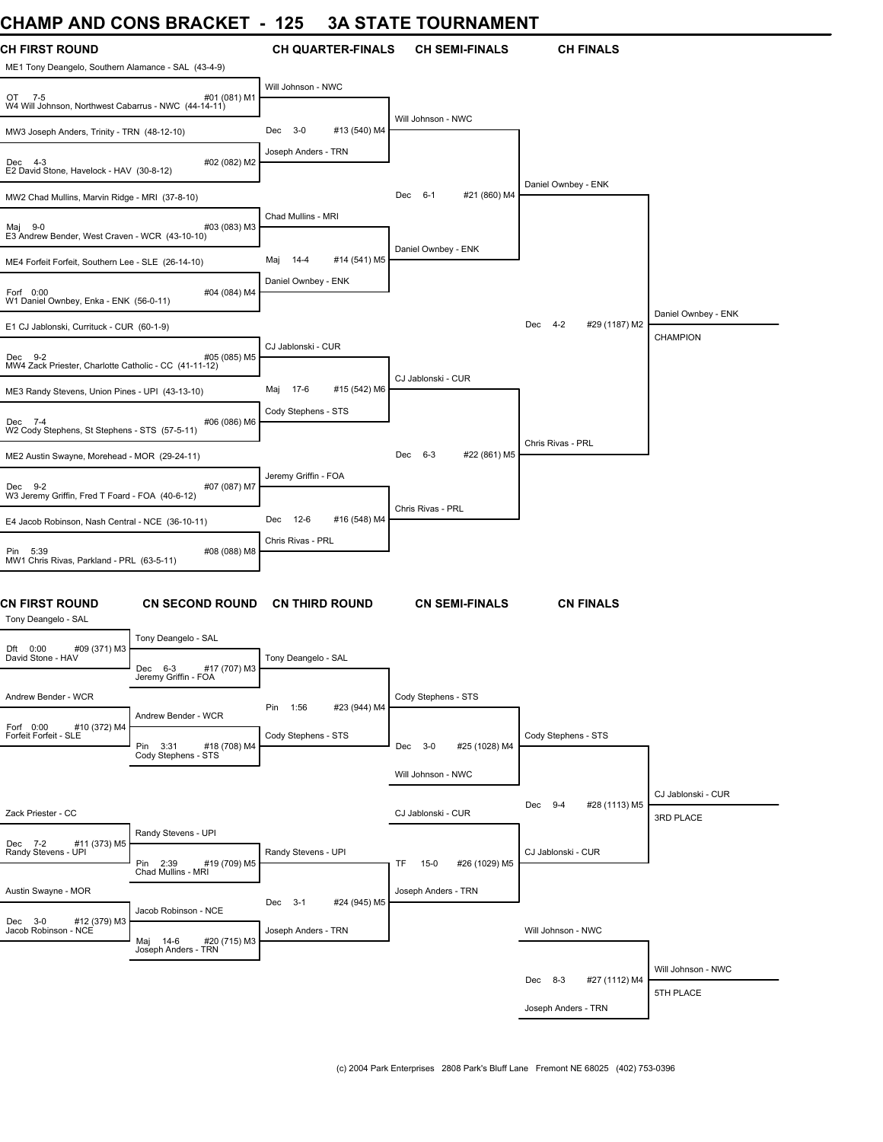### **CHAMP AND CONS BRACKET - 125 3A STATE TOURNAMENT**

| <b>CH FIRST ROUND</b><br>ME1 Tony Deangelo, Southern Alamance - SAL (43-4-9) |                                                    | <b>CH QUARTER-FINALS</b>    | <b>CH SEMI-FINALS</b>         | <b>CH FINALS</b>                |                                 |
|------------------------------------------------------------------------------|----------------------------------------------------|-----------------------------|-------------------------------|---------------------------------|---------------------------------|
| OT 7-5<br>W4 Will Johnson, Northwest Cabarrus - NWC (44-14-11)               | #01 (081) M1                                       | Will Johnson - NWC          |                               |                                 |                                 |
| MW3 Joseph Anders, Trinity - TRN (48-12-10)                                  |                                                    | Dec 3-0<br>#13 (540) M4     | Will Johnson - NWC            |                                 |                                 |
| Dec 4-3<br>E2 David Stone, Havelock - HAV (30-8-12)                          | #02 (082) M2                                       | Joseph Anders - TRN         |                               |                                 |                                 |
| MW2 Chad Mullins, Marvin Ridge - MRI (37-8-10)                               |                                                    |                             | Dec 6-1<br>#21 (860) M4       | Daniel Ownbey - ENK             |                                 |
| Maj 9-0<br>E3 Andrew Bender, West Craven - WCR (43-10-10)                    | #03 (083) M3                                       | Chad Mullins - MRI          |                               |                                 |                                 |
| ME4 Forfeit Forfeit, Southern Lee - SLE (26-14-10)                           |                                                    | Maj<br>14-4<br>#14 (541) M5 | Daniel Ownbey - ENK           |                                 |                                 |
| Forf 0:00<br>W1 Daniel Ownbey, Enka - ENK (56-0-11)                          | #04 (084) M4                                       | Daniel Ownbey - ENK         |                               |                                 |                                 |
| E1 CJ Jablonski, Currituck - CUR (60-1-9)                                    |                                                    |                             |                               | Dec<br>$4 - 2$<br>#29 (1187) M2 | Daniel Ownbey - ENK             |
| Dec 9-2<br>MW4 Zack Priester, Charlotte Catholic - CC (41-11-12)             | #05 (085) M5                                       | CJ Jablonski - CUR          |                               |                                 | <b>CHAMPION</b>                 |
| ME3 Randy Stevens, Union Pines - UPI (43-13-10)                              |                                                    | 17-6<br>#15 (542) M6<br>Maj | CJ Jablonski - CUR            |                                 |                                 |
| Dec 7-4<br>W2 Cody Stephens, St Stephens - STS (57-5-11)                     | #06 (086) M6                                       | Cody Stephens - STS         |                               |                                 |                                 |
| ME2 Austin Swayne, Morehead - MOR (29-24-11)                                 |                                                    |                             | #22 (861) M5<br>Dec 6-3       | Chris Rivas - PRL               |                                 |
| Dec 9-2<br>W3 Jeremy Griffin, Fred T Foard - FOA (40-6-12)                   | #07 (087) M7                                       | Jeremy Griffin - FOA        |                               |                                 |                                 |
| E4 Jacob Robinson, Nash Central - NCE (36-10-11)                             |                                                    | Dec<br>12-6<br>#16 (548) M4 | Chris Rivas - PRL             |                                 |                                 |
| Pin 5:39<br>MW1 Chris Rivas, Parkland - PRL (63-5-11)                        | #08 (088) M8                                       | Chris Rivas - PRL           |                               |                                 |                                 |
| <b>CN FIRST ROUND</b><br>Tony Deangelo - SAL                                 | <b>CN SECOND ROUND</b>                             | <b>CN THIRD ROUND</b>       | <b>CN SEMI-FINALS</b>         | <b>CN FINALS</b>                |                                 |
| Dft 0:00<br>#09 (371) M3                                                     | Tony Deangelo - SAL                                |                             |                               |                                 |                                 |
| David Stone - HAV                                                            | Dec 6-3<br>#17 (707) M3<br>Jeremy Griffin - FOA    | Tony Deangelo - SAL         |                               |                                 |                                 |
| Andrew Bender - WCR                                                          |                                                    |                             | Cody Stephens - STS           |                                 |                                 |
| #10 (372) M4<br>Forf 0:00                                                    | Andrew Bender - WCR                                | Pin<br>1:56<br>#23 (944) M4 |                               |                                 |                                 |
| Forfeit Forfeit - SLE                                                        | Pin<br>#18 (708) M4<br>3:31<br>Cody Stephens - STS | Cody Stephens - STS         | Dec<br>$3-0$<br>#25 (1028) M4 | Cody Stephens - STS             |                                 |
|                                                                              |                                                    |                             | Will Johnson - NWC            |                                 |                                 |
|                                                                              |                                                    |                             |                               | Dec 9-4<br>#28 (1113) M5        | CJ Jablonski - CUR              |
| Zack Priester - CC                                                           | Randy Stevens - UPI                                |                             | CJ Jablonski - CUR            |                                 | 3RD PLACE                       |
| Dec 7-2<br>#11 (373) M5<br>Randy Stevens - UPI                               | #19 (709) M5<br>Pin 2:39<br>Chad Mullins - MRI     | Randy Stevens - UPI         | #26 (1029) M5<br>TF<br>$15-0$ | CJ Jablonski - CUR              |                                 |
| Austin Swayne - MOR                                                          |                                                    | Dec 3-1<br>#24 (945) M5     | Joseph Anders - TRN           |                                 |                                 |
| Dec 3-0<br>#12 (379) M3<br>Jacob Robinson - NCE                              | Jacob Robinson - NCE<br>#20 (715) M3               | Joseph Anders - TRN         |                               | Will Johnson - NWC              |                                 |
|                                                                              | Maj 14-6 #20<br>Joseph Anders - TRN                |                             |                               |                                 |                                 |
|                                                                              |                                                    |                             |                               | Dec<br>8-3<br>#27 (1112) M4     | Will Johnson - NWC<br>5TH PLACE |
|                                                                              |                                                    |                             |                               | Joseph Anders - TRN             |                                 |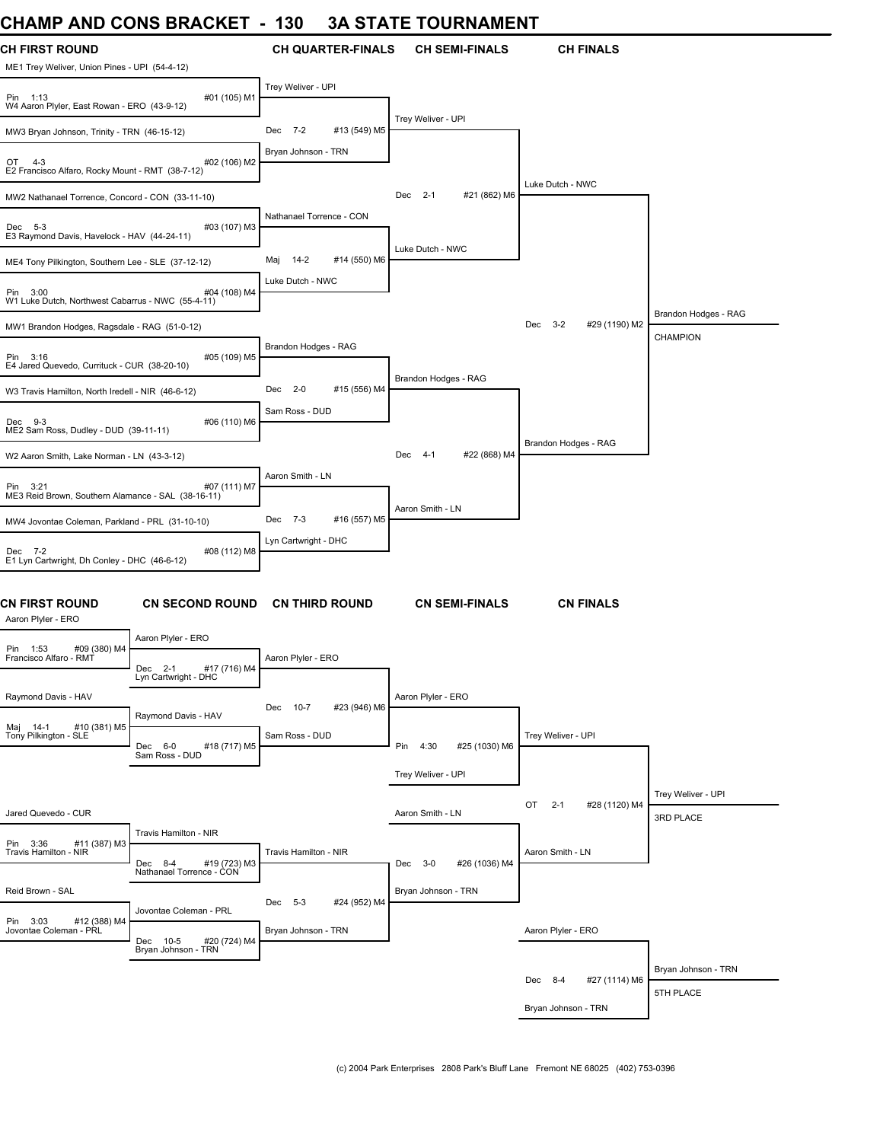# **CHAMP AND CONS BRACKET - 130 3A STATE TOURNAMENT**

| <b>CH FIRST ROUND</b><br>ME1 Trey Weliver, Union Pines - UPI (54-4-12) |                                                     | <b>CH QUARTER-FINALS</b>                              | <b>CH SEMI-FINALS</b>        | <b>CH FINALS</b>               |                                  |
|------------------------------------------------------------------------|-----------------------------------------------------|-------------------------------------------------------|------------------------------|--------------------------------|----------------------------------|
| Pin 1:13<br>W4 Aaron Plyler, East Rowan - ERO (43-9-12)                | #01 (105) M1                                        | Trey Weliver - UPI                                    |                              |                                |                                  |
| MW3 Bryan Johnson, Trinity - TRN (46-15-12)                            |                                                     | Dec 7-2<br>#13 (549) M5                               | Trey Weliver - UPI           |                                |                                  |
| OT<br>$4 - 3$<br>E2 Francisco Alfaro, Rocky Mount - RMT (38-7-12)      | #02 (106) M2                                        | Bryan Johnson - TRN                                   |                              |                                |                                  |
| MW2 Nathanael Torrence, Concord - CON (33-11-10)                       |                                                     |                                                       | Dec 2-1<br>#21 (862) M6      | Luke Dutch - NWC               |                                  |
| Dec 5-3<br>E3 Raymond Davis, Havelock - HAV (44-24-11)                 | #03 (107) M3                                        | Nathanael Torrence - CON                              |                              |                                |                                  |
| ME4 Tony Pilkington, Southern Lee - SLE (37-12-12)                     |                                                     | #14 (550) M6<br>$14-2$<br>Maj                         | Luke Dutch - NWC             |                                |                                  |
| Pin 3:00<br>W1 Luke Dutch, Northwest Cabarrus - NWC (55-4-11)          | #04 (108) M4                                        | Luke Dutch - NWC                                      |                              |                                | Brandon Hodges - RAG             |
| MW1 Brandon Hodges, Ragsdale - RAG (51-0-12)                           |                                                     |                                                       |                              | Dec 3-2<br>#29 (1190) M2       | <b>CHAMPION</b>                  |
| Pin 3:16<br>E4 Jared Quevedo, Currituck - CUR (38-20-10)               | #05 (109) M5                                        | Brandon Hodges - RAG                                  |                              |                                |                                  |
| W3 Travis Hamilton, North Iredell - NIR (46-6-12)                      |                                                     | #15 (556) M4<br>$2 - 0$<br>Dec                        | Brandon Hodges - RAG         |                                |                                  |
| Dec 9-3<br>ME2 Sam Ross, Dudley - DUD (39-11-11)                       | #06 (110) M6                                        | Sam Ross - DUD                                        |                              |                                |                                  |
| W2 Aaron Smith, Lake Norman - LN (43-3-12)                             |                                                     |                                                       | #22 (868) M4<br>Dec 4-1      | Brandon Hodges - RAG           |                                  |
| Pin 3:21<br>ME3 Reid Brown, Southern Alamance - SAL (38-16-11)         | #07 (111) M7                                        | Aaron Smith - LN                                      |                              |                                |                                  |
| MW4 Jovontae Coleman, Parkland - PRL (31-10-10)                        |                                                     | #16 (557) M5<br>Dec 7-3                               | Aaron Smith - LN             |                                |                                  |
| Dec 7-2<br>E1 Lyn Cartwright, Dh Conley - DHC (46-6-12)                | #08 (112) M8                                        | Lyn Cartwright - DHC                                  |                              |                                |                                  |
| <b>CN FIRST ROUND</b><br>Aaron Plyler - ERO                            | <b>CN SECOND ROUND</b>                              | <b>CN THIRD ROUND</b>                                 | <b>CN SEMI-FINALS</b>        | <b>CN FINALS</b>               |                                  |
| #09 (380) M4<br>Pin 1:53                                               | Aaron Plyler - ERO                                  |                                                       |                              |                                |                                  |
| Francisco Alfaro - RMT                                                 | #17 (716) M4<br>Dec 2-1<br>Lyn Cartwright - DHC     | Aaron Plyler - ERO                                    |                              |                                |                                  |
| Raymond Davis - HAV                                                    | Raymond Davis - HAV                                 | Dec 10-7<br>#23 (946) M6                              | Aaron Plyler - ERO           |                                |                                  |
| #10 (381) M5<br>Maj 14-1<br>Tony Pilkington - SLE                      | #18 (717) M5<br>Dec 6-0<br>Sam Ross - DUD           | Sam Ross - DUD                                        | Pin<br>4:30<br>#25 (1030) M6 | Trey Weliver - UPI             |                                  |
|                                                                        |                                                     |                                                       | Trey Weliver - UPI           |                                |                                  |
|                                                                        |                                                     |                                                       |                              | OT<br>$2 - 1$<br>#28 (1120) M4 | Trey Weliver - UPI               |
| Jared Quevedo - CUR                                                    | Travis Hamilton - NIR                               |                                                       | Aaron Smith - LN             |                                | 3RD PLACE                        |
| Pin 3:36<br>#11 (387) M3<br>Travis Hamilton - NIR                      | Dec 8-4<br>#19 (723) M3<br>Nathanael Torrence - CON | Travis Hamilton - NIR                                 | Dec 3-0<br>#26 (1036) M4     | Aaron Smith - LN               |                                  |
| Reid Brown - SAL                                                       |                                                     |                                                       | Bryan Johnson - TRN          |                                |                                  |
| Pin 3:03<br>#12 (388) M4<br>Jovontae Coleman - PRL                     | Jovontae Coleman - PRL                              | $5 - 3$<br>#24 (952) M4<br>Dec<br>Bryan Johnson - TRN |                              | Aaron Plyler - ERO             |                                  |
|                                                                        | Dec 10-5<br>#20 (724) M4<br>Bryan Johnson - TRN     |                                                       |                              |                                |                                  |
|                                                                        |                                                     |                                                       |                              | Dec 8-4<br>#27 (1114) M6       | Bryan Johnson - TRN<br>5TH PLACE |
|                                                                        |                                                     |                                                       |                              | Bryan Johnson - TRN            |                                  |
|                                                                        |                                                     |                                                       |                              |                                |                                  |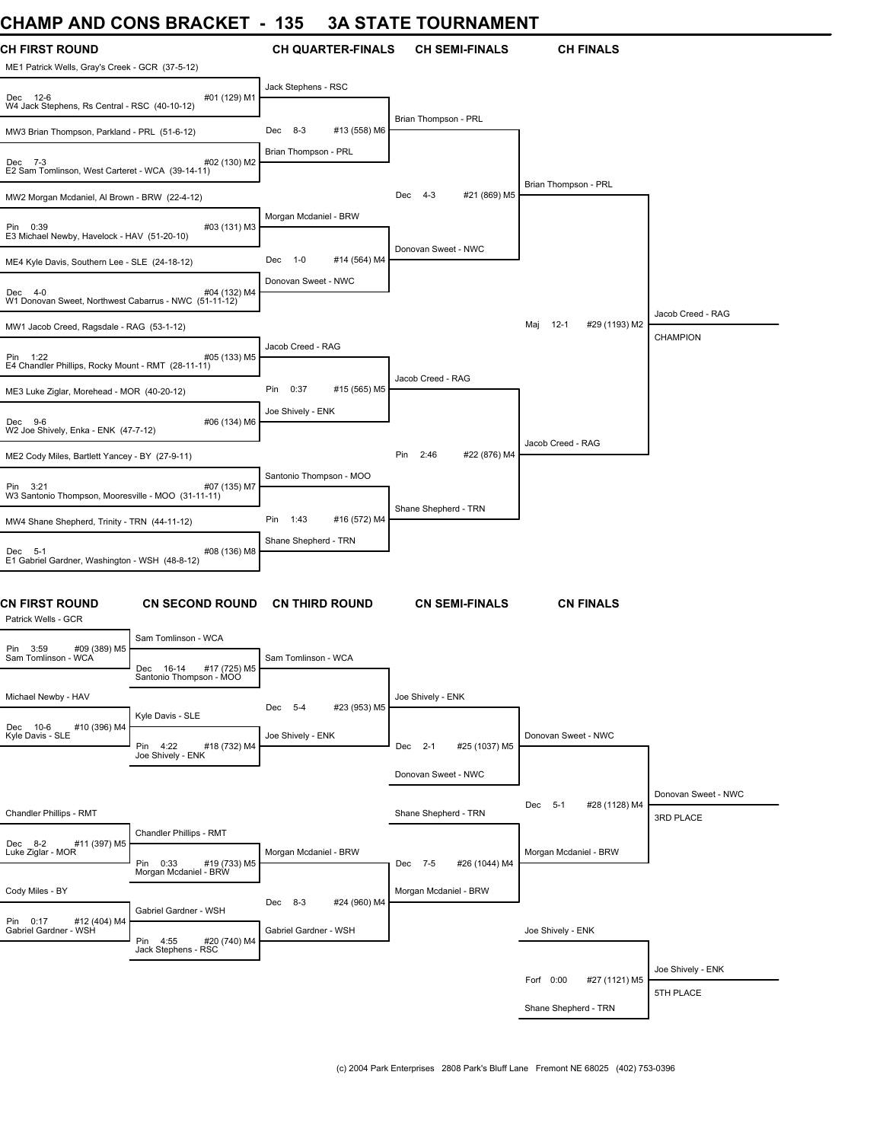### **CHAMP AND CONS BRACKET - 135 3A STATE TOURNAMENT**

| UNAINIT AINU UUNJ DRAUNEI                                                |                                                                          | າວວ                     |                          | JA JIAIE IUUNNAMENI            |                                |                                  |
|--------------------------------------------------------------------------|--------------------------------------------------------------------------|-------------------------|--------------------------|--------------------------------|--------------------------------|----------------------------------|
| <b>CH FIRST ROUND</b><br>ME1 Patrick Wells, Gray's Creek - GCR (37-5-12) |                                                                          |                         | <b>CH QUARTER-FINALS</b> | <b>CH SEMI-FINALS</b>          | <b>CH FINALS</b>               |                                  |
| Dec 12-6<br>W4 Jack Stephens, Rs Central - RSC (40-10-12)                | #01 (129) M1                                                             | Jack Stephens - RSC     |                          |                                |                                |                                  |
| MW3 Brian Thompson, Parkland - PRL (51-6-12)                             |                                                                          | Dec 8-3                 | #13 (558) M6             | Brian Thompson - PRL           |                                |                                  |
| Dec 7-3<br>E2 Sam Tomlinson, West Carteret - WCA (39-14-11)              | #02 (130) M2                                                             | Brian Thompson - PRL    |                          |                                |                                |                                  |
| MW2 Morgan Mcdaniel, Al Brown - BRW (22-4-12)                            |                                                                          |                         |                          | #21 (869) M5<br>Dec<br>$4 - 3$ | Brian Thompson - PRL           |                                  |
| Pin 0:39<br>E3 Michael Newby, Havelock - HAV (51-20-10)                  | #03 (131) M3                                                             | Morgan Mcdaniel - BRW   |                          |                                |                                |                                  |
| ME4 Kyle Davis, Southern Lee - SLE (24-18-12)                            |                                                                          | Dec<br>$1 - 0$          | #14 (564) M4             | Donovan Sweet - NWC            |                                |                                  |
| Dec 4-0<br>W1 Donovan Sweet, Northwest Cabarrus - NWC (51-11-12)         | #04 (132) M4                                                             | Donovan Sweet - NWC     |                          |                                |                                |                                  |
| MW1 Jacob Creed, Ragsdale - RAG (53-1-12)                                |                                                                          |                         |                          |                                | #29 (1193) M2<br>Maj<br>$12-1$ | Jacob Creed - RAG                |
| Pin 1:22<br>E4 Chandler Phillips, Rocky Mount - RMT (28-11-11)           | #05 (133) M5                                                             | Jacob Creed - RAG       |                          |                                |                                | <b>CHAMPION</b>                  |
| ME3 Luke Ziglar, Morehead - MOR (40-20-12)                               |                                                                          | Pin<br>0:37             | #15 (565) M5             | Jacob Creed - RAG              |                                |                                  |
| Dec 9-6<br>W2 Joe Shively, Enka - ENK (47-7-12)                          | #06 (134) M6                                                             | Joe Shively - ENK       |                          |                                |                                |                                  |
| ME2 Cody Miles, Bartlett Yancey - BY (27-9-11)                           |                                                                          |                         |                          | 2:46<br>#22 (876) M4<br>Pin    | Jacob Creed - RAG              |                                  |
| Pin 3:21<br>W3 Santonio Thompson, Mooresville - MOO (31-11-11)           | #07 (135) M7                                                             | Santonio Thompson - MOO |                          |                                |                                |                                  |
| MW4 Shane Shepherd, Trinity - TRN (44-11-12)                             |                                                                          | 1:43<br>Pin             | #16 (572) M4             | Shane Shepherd - TRN           |                                |                                  |
| Dec 5-1<br>E1 Gabriel Gardner, Washington - WSH (48-8-12)                | #08 (136) M8                                                             | Shane Shepherd - TRN    |                          |                                |                                |                                  |
| <b>CN FIRST ROUND</b><br>Patrick Wells - GCR                             | <b>CN SECOND ROUND</b>                                                   | <b>CN THIRD ROUND</b>   |                          | <b>CN SEMI-FINALS</b>          | <b>CN FINALS</b>               |                                  |
| #09 (389) M5<br>Pin 3:59                                                 | Sam Tomlinson - WCA                                                      |                         |                          |                                |                                |                                  |
| Sam Tomlinson - WCA                                                      | Dec 16-14<br>#17 (725) M5<br>Santonio Thompson - MOO                     | Sam Tomlinson - WCA     |                          |                                |                                |                                  |
| Michael Newby - HAV                                                      | Kyle Davis - SLE                                                         | Dec 5-4                 | #23 (953) M5             | Joe Shively - ENK              |                                |                                  |
| Dec 10-6<br>#10 (396) M4<br>Kyle Davis - SLE                             | Pin 4:22<br>#18 (732) M4<br>Joe Shively - ENK                            | Joe Shively - ENK       |                          | Dec 2-1<br>#25 (1037) M5       | Donovan Sweet - NWC            |                                  |
|                                                                          |                                                                          |                         |                          | Donovan Sweet - NWC            |                                |                                  |
| Chandler Phillips - RMT                                                  |                                                                          |                         |                          | Shane Shepherd - TRN           | Dec 5-1<br>#28 (1128) M4       | Donovan Sweet - NWC<br>3RD PLACE |
| #11 (397) M5<br>Dec 8-2                                                  | Chandler Phillips - RMT                                                  |                         |                          |                                |                                |                                  |
| Luke Ziglar - MOR                                                        | Pin 0:33<br>#19 (733) M5<br>Morgan Mcdaniel - BRW                        | Morgan Mcdaniel - BRW   |                          | #26 (1044) M4<br>Dec 7-5       | Morgan Mcdaniel - BRW          |                                  |
| Cody Miles - BY                                                          |                                                                          | Dec 8-3                 | #24 (960) M4             | Morgan Mcdaniel - BRW          |                                |                                  |
| Pin 0:17<br>#12 (404) M4<br>Gabriel Gardner - WSH                        | Gabriel Gardner - WSH<br>Pin 4:55<br>#20 (740) M4<br>Jack Stephens - RSC | Gabriel Gardner - WSH   |                          |                                | Joe Shively - ENK              |                                  |
|                                                                          |                                                                          |                         |                          |                                |                                | Joe Shively - ENK                |
|                                                                          |                                                                          |                         |                          |                                | Forf 0:00<br>#27 (1121) M5     | 5TH PLACE                        |
|                                                                          |                                                                          |                         |                          |                                | Shane Shepherd - TRN           |                                  |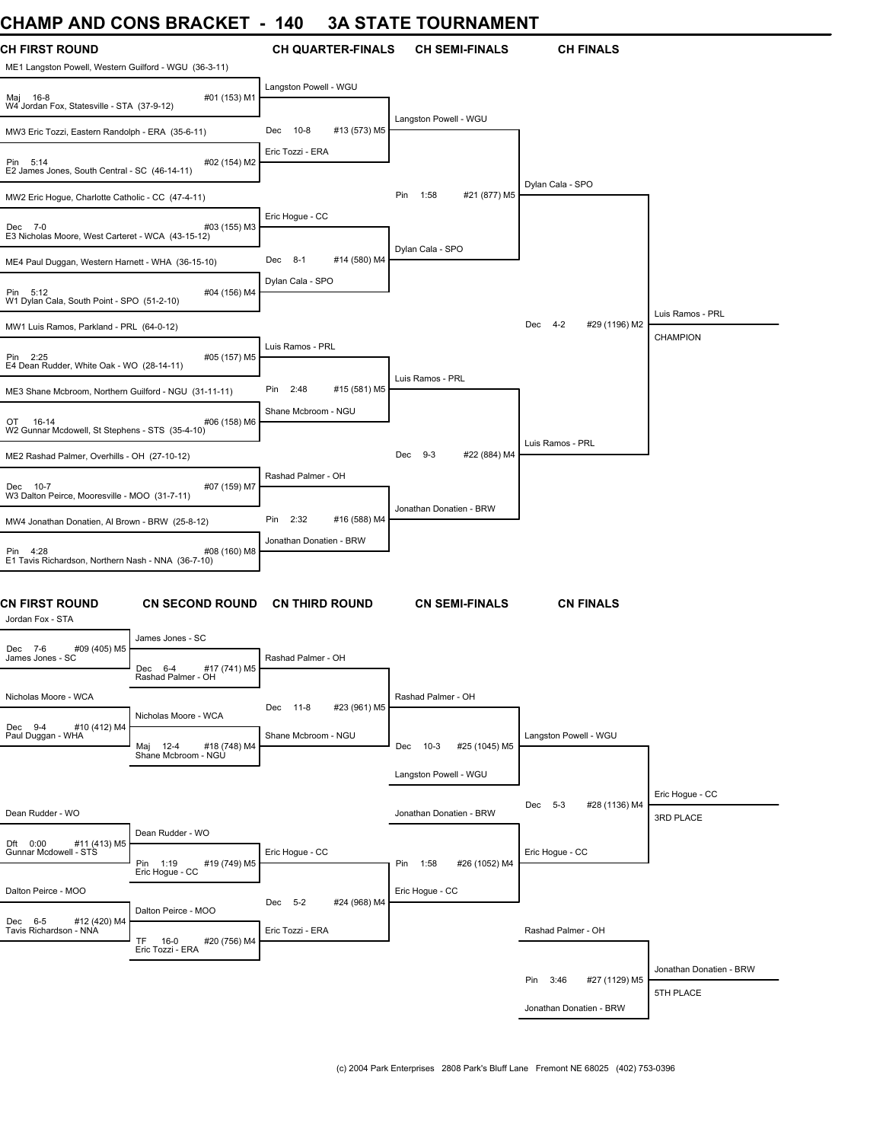### **CHAMP AND CONS BRACKET - 140 3A STATE TOURNAMENT**

| ᄓᇅᇅ<br><b>AIV</b>                                                              | <b>UURU DIVAVILI</b>                                                           |                             | UN UTATLI TUUNNAMENT           |                           |                         |
|--------------------------------------------------------------------------------|--------------------------------------------------------------------------------|-----------------------------|--------------------------------|---------------------------|-------------------------|
| <b>CH FIRST ROUND</b><br>ME1 Langston Powell, Western Guilford - WGU (36-3-11) |                                                                                | <b>CH QUARTER-FINALS</b>    | <b>CH SEMI-FINALS</b>          | <b>CH FINALS</b>          |                         |
| Maj 16-8<br>W4 Jordan Fox, Statesville - STA (37-9-12)                         | #01 (153) M1                                                                   | Langston Powell - WGU       |                                |                           |                         |
| MW3 Eric Tozzi, Eastern Randolph - ERA (35-6-11)                               |                                                                                | 10-8<br>#13 (573) M5<br>Dec | Langston Powell - WGU          |                           |                         |
| Pin 5:14<br>E2 James Jones, South Central - SC (46-14-11)                      | #02 (154) M2                                                                   | Eric Tozzi - ERA            |                                |                           |                         |
| MW2 Eric Hoque, Charlotte Catholic - CC (47-4-11)                              |                                                                                |                             | Pin<br>1:58<br>#21 (877) M5    | Dylan Cala - SPO          |                         |
| Dec 7-0<br>E3 Nicholas Moore, West Carteret - WCA (43-15-12)                   | #03 (155) M3                                                                   | Eric Hoque - CC             |                                |                           |                         |
| ME4 Paul Duggan, Western Harnett - WHA (36-15-10)                              |                                                                                | Dec 8-1<br>#14 (580) M4     | Dylan Cala - SPO               |                           |                         |
| Pin 5:12<br>W1 Dylan Cala, South Point - SPO (51-2-10)                         | #04 (156) M4                                                                   | Dylan Cala - SPO            |                                |                           |                         |
| MW1 Luis Ramos, Parkland - PRL (64-0-12)                                       |                                                                                |                             |                                | Dec 4-2<br>#29 (1196) M2  | Luis Ramos - PRL        |
| Pin 2:25<br>E4 Dean Rudder, White Oak - WO (28-14-11)                          | #05 (157) M5                                                                   | Luis Ramos - PRL            |                                |                           | <b>CHAMPION</b>         |
| ME3 Shane Mcbroom, Northern Guilford - NGU (31-11-11)                          |                                                                                | 2:48<br>#15 (581) M5<br>Pin | Luis Ramos - PRL               |                           |                         |
| OT<br>16-14<br>W2 Gunnar Mcdowell, St Stephens - STS (35-4-10)                 | #06 (158) M6                                                                   | Shane Mcbroom - NGU         |                                |                           |                         |
| ME2 Rashad Palmer, Overhills - OH (27-10-12)                                   |                                                                                |                             | Dec<br>$9-3$<br>#22 (884) M4   | Luis Ramos - PRL          |                         |
|                                                                                |                                                                                | Rashad Palmer - OH          |                                |                           |                         |
| Dec 10-7<br>W3 Dalton Peirce, Mooresville - MOO (31-7-11)                      | #07 (159) M7                                                                   |                             | Jonathan Donatien - BRW        |                           |                         |
| MW4 Jonathan Donatien, Al Brown - BRW (25-8-12)                                |                                                                                | Pin<br>2:32<br>#16 (588) M4 |                                |                           |                         |
| Pin 4:28<br>E1 Tavis Richardson, Northern Nash - NNA (36-7-10)                 | #08 (160) M8                                                                   | Jonathan Donatien - BRW     |                                |                           |                         |
| <b>CN FIRST ROUND</b><br>Jordan Fox - STA                                      | CN SECOND ROUND CN THIRD ROUND                                                 |                             | <b>CN SEMI-FINALS</b>          | <b>CN FINALS</b>          |                         |
| #09 (405) M5<br>Dec 7-6                                                        | James Jones - SC                                                               |                             |                                |                           |                         |
| James Jones - SC                                                               | Dec<br>$6 - 4$<br>#17 (741) M5<br>Rashad Palmer - OH                           | Rashad Palmer - OH          |                                |                           |                         |
| Nicholas Moore - WCA                                                           |                                                                                | #23 (961) M5<br>Dec 11-8    | Rashad Palmer - OH             |                           |                         |
| Dec 9-4<br>#10 (412) M4<br>Paul Duggan - WHA                                   | Nicholas Moore - WCA<br>#18 (748) M4<br>Maj 12-4 #18 (7<br>Shane Mcbroom - NGU | Shane Mcbroom - NGU         | $10-3$<br>#25 (1045) M5<br>Dec | Langston Powell - WGU     |                         |
|                                                                                |                                                                                |                             | Langston Powell - WGU          |                           |                         |
|                                                                                |                                                                                |                             |                                |                           | Eric Hoque - CC         |
| Dean Rudder - WO                                                               |                                                                                |                             | Jonathan Donatien - BRW        | Dec 5-3<br>#28 (1136) M4  | 3RD PLACE               |
| #11 (413) M5<br>Dft 0:00                                                       | Dean Rudder - WO                                                               |                             |                                |                           |                         |
| Gunnar Mcdowell - STS                                                          | Pin 1:19<br>#19 (749) M5                                                       | Eric Hogue - CC             | #26 (1052) M4<br>Pin 1:58      | Eric Hogue - CC           |                         |
| Dalton Peirce - MOO                                                            | Eric Hogue - CC                                                                |                             | Eric Hogue - CC                |                           |                         |
|                                                                                | Dalton Peirce - MOO                                                            | Dec 5-2<br>#24 (968) M4     |                                |                           |                         |
| Dec 6-5<br>#12 (420) M4<br>Tavis Richardson - NNA                              | TF.<br>16-0<br>#20 (756) M4<br>Eric Tozzi - ERA                                | Eric Tozzi - ERA            |                                | Rashad Palmer - OH        |                         |
|                                                                                |                                                                                |                             |                                |                           | Jonathan Donatien - BRW |
|                                                                                |                                                                                |                             |                                | Pin 3:46<br>#27 (1129) M5 | 5TH PLACE               |
|                                                                                |                                                                                |                             |                                | Jonathan Donatien - BRW   |                         |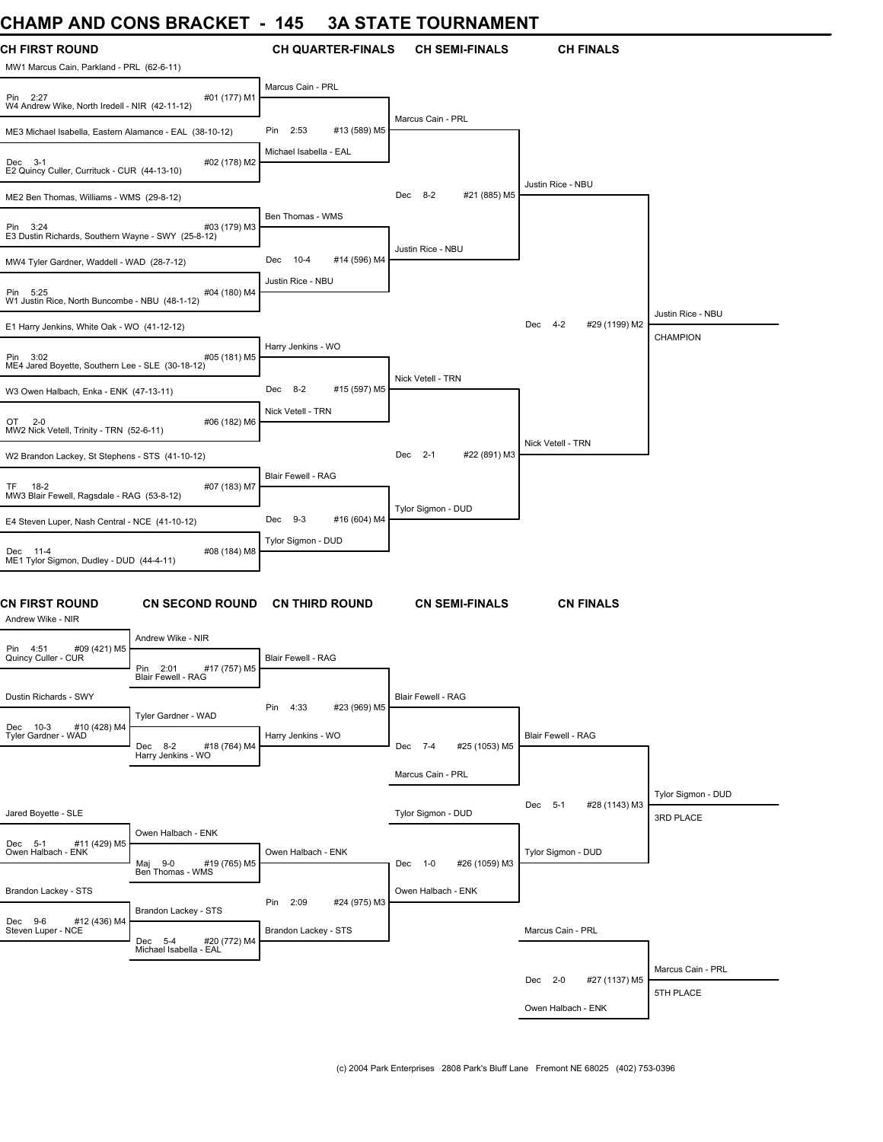# **CHAMP AND CONS BRACKET - 145 3A STATE TOURNAMENT**

| <b>CH FIRST ROUND</b><br>MW1 Marcus Cain, Parkland - PRL (62-6-11) |                                                      | <b>CH QUARTER-FINALS</b>        | <b>CH SEMI-FINALS</b>    | <b>CH FINALS</b>                |                    |
|--------------------------------------------------------------------|------------------------------------------------------|---------------------------------|--------------------------|---------------------------------|--------------------|
| Pin 2:27<br>W4 Andrew Wike, North Iredell - NIR (42-11-12)         | #01 (177) M1                                         | Marcus Cain - PRL               |                          |                                 |                    |
| ME3 Michael Isabella, Eastern Alamance - EAL (38-10-12)            |                                                      | #13 (589) M5<br>2:53<br>Pin     | Marcus Cain - PRL        |                                 |                    |
| Dec 3-1<br>E2 Quincy Culler, Currituck - CUR (44-13-10)            | #02 (178) M2                                         | Michael Isabella - EAL          |                          |                                 |                    |
| ME2 Ben Thomas, Williams - WMS (29-8-12)                           |                                                      |                                 | #21 (885) M5<br>Dec 8-2  | Justin Rice - NBU               |                    |
| Pin 3:24<br>E3 Dustin Richards, Southern Wayne - SWY (25-8-12)     | #03 (179) M3                                         | Ben Thomas - WMS                |                          |                                 |                    |
| MW4 Tyler Gardner, Waddell - WAD (28-7-12)                         |                                                      | $10 - 4$<br>#14 (596) M4<br>Dec | Justin Rice - NBU        |                                 |                    |
| Pin 5:25<br>W1 Justin Rice, North Buncombe - NBU (48-1-12)         | #04 (180) M4                                         | Justin Rice - NBU               |                          |                                 |                    |
| E1 Harry Jenkins, White Oak - WO (41-12-12)                        |                                                      |                                 |                          | #29 (1199) M2<br>Dec 4-2        | Justin Rice - NBU  |
| Pin 3:02<br>ME4 Jared Boyette, Southern Lee - SLE (30-18-12)       | #05 (181) M5                                         | Harry Jenkins - WO              |                          |                                 | <b>CHAMPION</b>    |
| W3 Owen Halbach, Enka - ENK (47-13-11)                             |                                                      | Dec 8-2<br>#15 (597) M5         | Nick Vetell - TRN        |                                 |                    |
| $2 - 0$<br>OT<br>MW2 Nick Vetell, Trinity - TRN (52-6-11)          | #06 (182) M6                                         | Nick Vetell - TRN               |                          |                                 |                    |
| W2 Brandon Lackey, St Stephens - STS (41-10-12)                    |                                                      |                                 | #22 (891) M3<br>Dec 2-1  | Nick Vetell - TRN               |                    |
| TF 18-2<br>MW3 Blair Fewell, Ragsdale - RAG (53-8-12)              | #07 (183) M7                                         | Blair Fewell - RAG              |                          |                                 |                    |
| E4 Steven Luper, Nash Central - NCE (41-10-12)                     |                                                      | $9-3$<br>#16 (604) M4<br>Dec    | Tylor Sigmon - DUD       |                                 |                    |
| Dec 11-4<br>ME1 Tylor Sigmon, Dudley - DUD (44-4-11)               | #08 (184) M8                                         | Tylor Sigmon - DUD              |                          |                                 |                    |
| <b>CN FIRST ROUND</b><br>Andrew Wike - NIR                         | <b>CN SECOND ROUND</b>                               | <b>CN THIRD ROUND</b>           | <b>CN SEMI-FINALS</b>    | <b>CN FINALS</b>                |                    |
| #09 (421) M5<br>Pin 4:51                                           | Andrew Wike - NIR                                    |                                 |                          |                                 |                    |
| Quincy Culler - CUR                                                | Pin<br>#17 (757) M5<br>2:01<br>Blair Fewell - RAG    | Blair Fewell - RAG              |                          |                                 |                    |
| Dustin Richards - SWY                                              |                                                      | #23 (969) M5<br>Pin<br>4:33     | Blair Fewell - RAG       |                                 |                    |
| #10 (428) M4<br>Dec 10-3<br>Tyler Gardner - WAD                    | Tyler Gardner - WAD<br>#18 (764) M4<br>Dec 8-2       | Harry Jenkins - WO              | Dec 7-4<br>#25 (1053) M5 | Blair Fewell - RAG              |                    |
|                                                                    | Harry Jenkins - WO                                   |                                 | Marcus Cain - PRL        |                                 |                    |
|                                                                    |                                                      |                                 |                          |                                 | Tylor Sigmon - DUD |
| Jared Boyette - SLE                                                |                                                      |                                 | Tylor Sigmon - DUD       | #28 (1143) M3<br>Dec<br>$5 - 1$ | 3RD PLACE          |
| Dec 5-1<br>#11 (429) M5<br>Owen Halbach - ENK                      | Owen Halbach - ENK<br>$9 - 0$<br>#19 (765) M5<br>Мај | Owen Halbach - ENK              | #26 (1059) M3<br>Dec 1-0 | Tylor Sigmon - DUD              |                    |
|                                                                    | Ben Thomas - WMS                                     |                                 |                          |                                 |                    |
| Brandon Lackey - STS                                               | Brandon Lackey - STS                                 | Pin<br>2:09<br>#24 (975) M3     | Owen Halbach - ENK       |                                 |                    |
| Dec 9-6<br>#12 (436) M4<br>Steven Luper - NCE                      | Dec 5-4<br>#20 (772) M4<br>Michael Isabella - EAL    | Brandon Lackey - STS            |                          | Marcus Cain - PRL               |                    |
|                                                                    |                                                      |                                 |                          |                                 | Marcus Cain - PRL  |
|                                                                    |                                                      |                                 |                          | Dec 2-0<br>#27 (1137) M5        | 5TH PLACE          |
|                                                                    |                                                      |                                 |                          | Owen Halbach - ENK              |                    |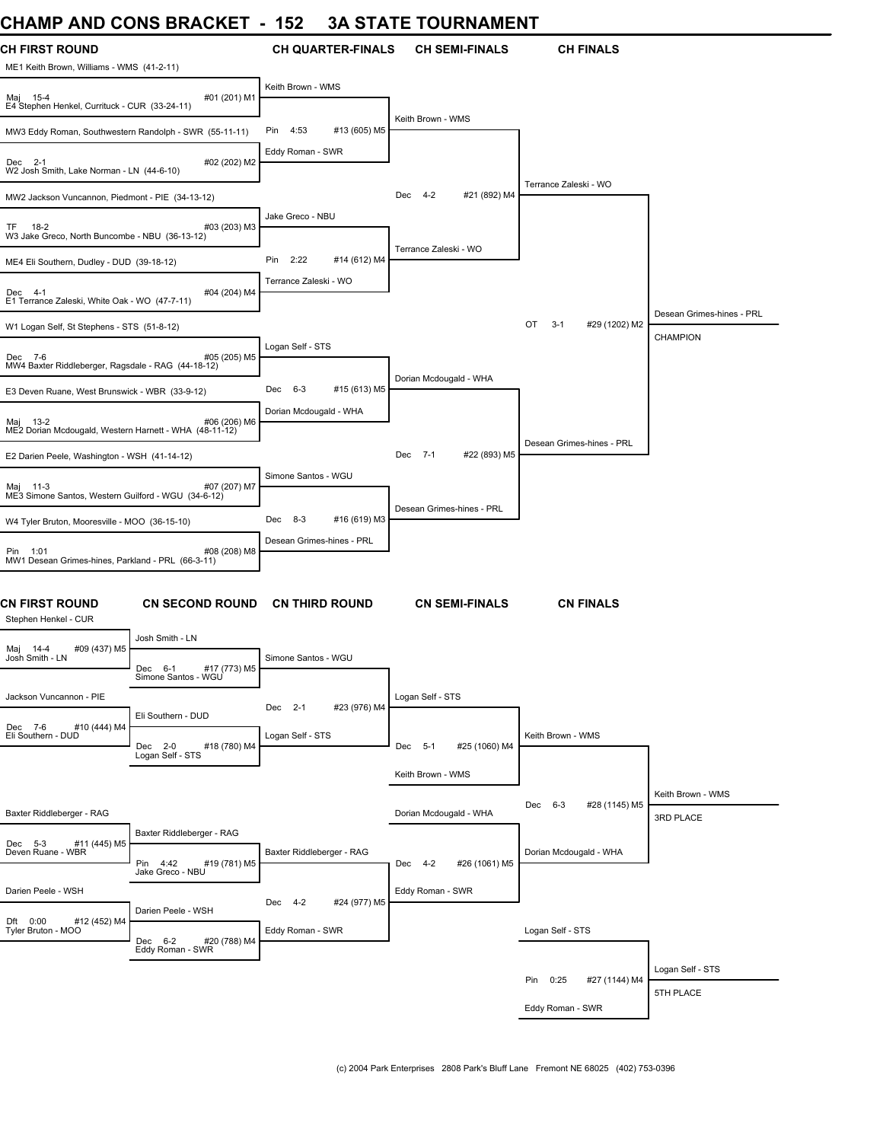### **CHAMP AND CONS BRACKET - 152 3A STATE TOURNAMENT**

| UNAIWIT AIND UUNJ DRAUNEI                                                                             | 194                                         | JA JIAIE IUUNNAMENI        |                                 |                                       |
|-------------------------------------------------------------------------------------------------------|---------------------------------------------|----------------------------|---------------------------------|---------------------------------------|
| <b>CH FIRST ROUND</b><br>ME1 Keith Brown, Williams - WMS (41-2-11)                                    | <b>CH QUARTER-FINALS</b>                    | <b>CH SEMI-FINALS</b>      | <b>CH FINALS</b>                |                                       |
| #01 (201) M1<br>Maj 15-4<br>E4 Stephen Henkel, Currituck - CUR (33-24-11)                             | Keith Brown - WMS                           |                            |                                 |                                       |
| MW3 Eddy Roman, Southwestern Randolph - SWR (55-11-11)                                                | 4:53<br>#13 (605) M5<br>Pin                 | Keith Brown - WMS          |                                 |                                       |
| #02 (202) M2<br>Dec 2-1<br>W2 Josh Smith, Lake Norman - LN (44-6-10)                                  | Eddy Roman - SWR                            |                            |                                 |                                       |
| MW2 Jackson Vuncannon, Piedmont - PIE (34-13-12)                                                      |                                             | #21 (892) M4<br>4-2<br>Dec | Terrance Zaleski - WO           |                                       |
| $18-2$<br>#03 (203) M3<br>TF<br>W3 Jake Greco, North Buncombe - NBU (36-13-12)                        | Jake Greco - NBU                            | Terrance Zaleski - WO      |                                 |                                       |
| ME4 Eli Southern, Dudley - DUD (39-18-12)                                                             | 2:22<br>#14 (612) M4<br>Pin                 |                            |                                 |                                       |
| #04 (204) M4<br>Dec 4-1<br>E1 Terrance Zaleski, White Oak - WO (47-7-11)                              | Terrance Zaleski - WO                       |                            |                                 |                                       |
| W1 Logan Self, St Stephens - STS (51-8-12)                                                            |                                             |                            | OT<br>$3 - 1$<br>#29 (1202) M2  | Desean Grimes-hines - PRL<br>CHAMPION |
| #05 (205) M5<br>Dec 7-6<br>MW4 Baxter Riddleberger, Ragsdale - RAG (44-18-12)                         | Logan Self - STS                            |                            |                                 |                                       |
| E3 Deven Ruane, West Brunswick - WBR (33-9-12)                                                        | #15 (613) M5<br>Dec<br>6-3                  | Dorian Mcdougald - WHA     |                                 |                                       |
| #06 (206) M6<br>Maj 13-2<br>ME2 Dorian Mcdougald, Western Harnett - WHA (48-11-12)                    | Dorian Mcdougald - WHA                      |                            |                                 |                                       |
| E2 Darien Peele, Washington - WSH (41-14-12)                                                          |                                             | #22 (893) M5<br>Dec 7-1    | Desean Grimes-hines - PRL       |                                       |
| #07 (207) M7<br>Maj 11-3<br>ME3 Simone Santos, Western Guilford - WGU (34-6-12)                       | Simone Santos - WGU                         | Desean Grimes-hines - PRL  |                                 |                                       |
| W4 Tyler Bruton, Mooresville - MOO (36-15-10)                                                         | #16 (619) M3<br>$8 - 3$<br>Dec              |                            |                                 |                                       |
| #08 (208) M8<br>Pin 1:01<br>MW1 Desean Grimes-hines, Parkland - PRL (66-3-11)                         | Desean Grimes-hines - PRL                   |                            |                                 |                                       |
| CN FIRST ROUND<br><b>CN SECOND ROUND</b><br>Stephen Henkel - CUR                                      | <b>CN THIRD ROUND</b>                       | <b>CN SEMI-FINALS</b>      | <b>CN FINALS</b>                |                                       |
| Josh Smith - LN<br>#09 (437) M5<br>Maj 14-4<br>Josh Smith - LN<br>Dec 6-1<br>#17 (773) M5             | Simone Santos - WGU                         |                            |                                 |                                       |
| Simone Santos - WGU<br>Jackson Vuncannon - PIE                                                        |                                             | Logan Self - STS           |                                 |                                       |
| Eli Southern - DUD                                                                                    | #23 (976) M4<br>Dec 2-1                     |                            |                                 |                                       |
| #10 (444) M4<br>Dec 7-6<br>Eli Southern - DUD<br>Dec 2-0<br>#18 (780) M4<br>Logan Self - STS          | Logan Self - STS                            | Dec 5-1<br>#25 (1060) M4   | Keith Brown - WMS               |                                       |
|                                                                                                       |                                             | Keith Brown - WMS          |                                 |                                       |
| Baxter Riddleberger - RAG                                                                             |                                             | Dorian Mcdougald - WHA     | #28 (1145) M5<br>$6 - 3$<br>Dec | Keith Brown - WMS<br>3RD PLACE        |
| Baxter Riddleberger - RAG<br>#11 (445) M5<br>Dec 5-3<br>Deven Ruane - WBR<br>Pin 4:42<br>#19 (781) M5 | Baxter Riddleberger - RAG                   | Dec 4-2<br>#26 (1061) M5   | Dorian Mcdougald - WHA          |                                       |
| Jake Greco - NBU<br>Darien Peele - WSH                                                                |                                             | Eddy Roman - SWR           |                                 |                                       |
| Darien Peele - WSH<br>Dft 0:00<br>#12 (452) M4<br>Tyler Bruton - MOO                                  | Dec 4-2<br>#24 (977) M5<br>Eddy Roman - SWR |                            | Logan Self - STS                |                                       |
| Dec 6-2<br>#20 (788) M4<br>Eddy Roman - SWR                                                           |                                             |                            |                                 |                                       |
|                                                                                                       |                                             |                            | #27 (1144) M4<br>Pin<br>0:25    | Logan Self - STS                      |
|                                                                                                       |                                             |                            | Eddy Roman - SWR                | 5TH PLACE                             |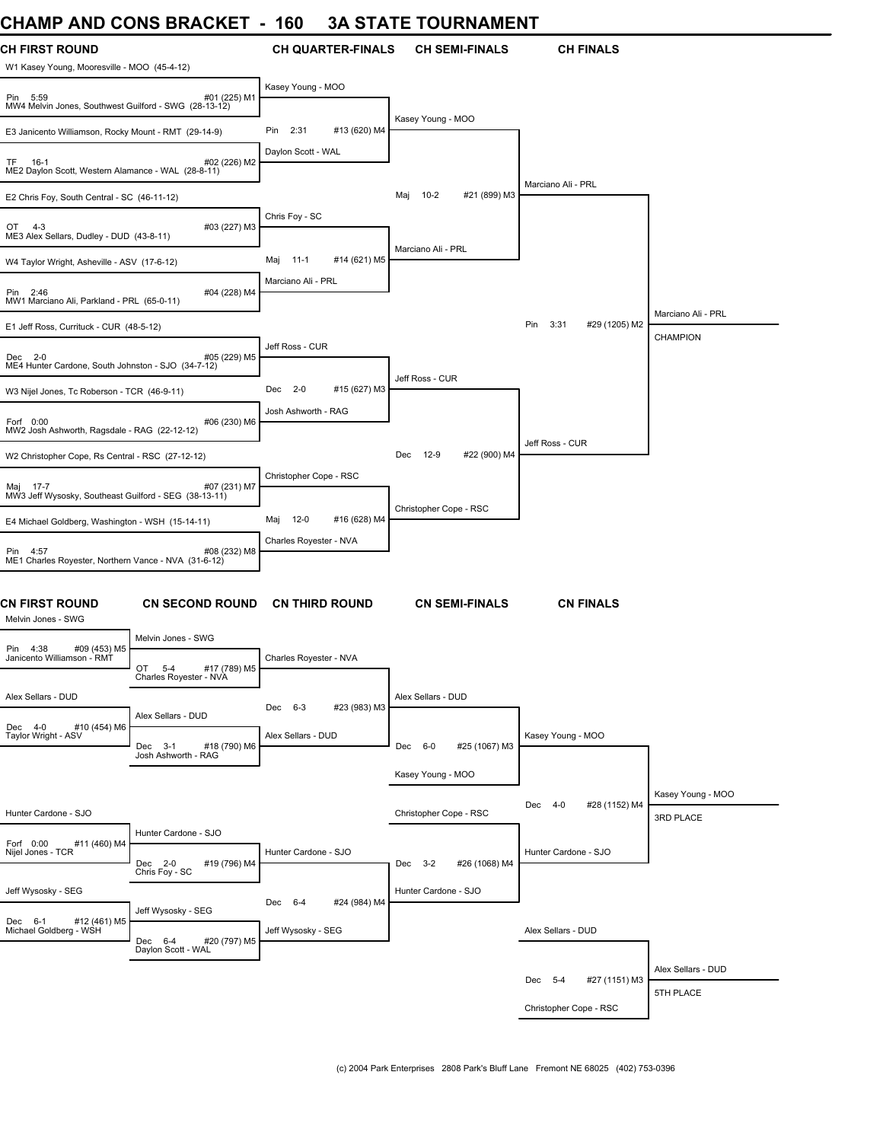### **CHAMP AND CONS BRACKET - 160 3A STATE TOURNAMENT**

| <b>CH FIRST ROUND</b>                                                             |                        | <b>CH QUARTER-FINALS</b>        | <b>CH SEMI-FINALS</b>       | <b>CH FINALS</b>             |                                       |
|-----------------------------------------------------------------------------------|------------------------|---------------------------------|-----------------------------|------------------------------|---------------------------------------|
| W1 Kasey Young, Mooresville - MOO (45-4-12)                                       |                        |                                 |                             |                              |                                       |
| Pin 5:59<br>MW4 Melvin Jones, Southwest Guilford - SWG (28-13-12)                 | #01 (225) M1           | Kasey Young - MOO               |                             |                              |                                       |
| E3 Janicento Williamson, Rocky Mount - RMT (29-14-9)                              |                        | #13 (620) M4<br>Pin<br>2:31     | Kasey Young - MOO           |                              |                                       |
| TF<br>16-1<br>ME2 Daylon Scott, Western Alamance - WAL (28-8-11)                  | #02 (226) M2           | Daylon Scott - WAL              |                             | Marciano Ali - PRL           |                                       |
| E2 Chris Foy, South Central - SC (46-11-12)                                       |                        |                                 | 10-2<br>#21 (899) M3<br>Maj |                              |                                       |
| OT 4-3<br>ME3 Alex Sellars, Dudley - DUD (43-8-11)                                | #03 (227) M3           | Chris Foy - SC                  |                             |                              |                                       |
| W4 Taylor Wright, Asheville - ASV (17-6-12)                                       |                        | Maj<br>$11 - 1$<br>#14 (621) M5 | Marciano Ali - PRL          |                              |                                       |
| Pin 2:46<br>MW1 Marciano Ali, Parkland - PRL (65-0-11)                            | #04 (228) M4           | Marciano Ali - PRL              |                             |                              |                                       |
| E1 Jeff Ross, Currituck - CUR (48-5-12)                                           |                        |                                 |                             | Pin<br>3:31<br>#29 (1205) M2 | Marciano Ali - PRL<br><b>CHAMPION</b> |
| Dec 2-0<br>ME4 Hunter Cardone, South Johnston - SJO (34-7-12)                     | #05 (229) M5           | Jeff Ross - CUR                 |                             |                              |                                       |
| W3 Nijel Jones, Tc Roberson - TCR (46-9-11)                                       |                        | Dec<br>$2 - 0$<br>#15 (627) M3  | Jeff Ross - CUR             |                              |                                       |
| Forf 0:00<br>MW2 Josh Ashworth, Ragsdale - RAG (22-12-12)                         | #06 (230) M6           | Josh Ashworth - RAG             |                             |                              |                                       |
| W2 Christopher Cope, Rs Central - RSC (27-12-12)                                  |                        |                                 | Dec 12-9<br>#22 (900) M4    | Jeff Ross - CUR              |                                       |
| Maj 17-7<br>MW3 Jeff Wysosky, Southeast Guilford - SEG (38-13-11)                 | #07 (231) M7           | Christopher Cope - RSC          |                             |                              |                                       |
| E4 Michael Goldberg, Washington - WSH (15-14-11)                                  |                        | Maj<br>$12-0$<br>#16 (628) M4   | Christopher Cope - RSC      |                              |                                       |
| Pin 4:57                                                                          | #08 (232) M8           | Charles Royester - NVA          |                             |                              |                                       |
| ME1 Charles Royester, Northern Vance - NVA (31-6-12)                              |                        |                                 |                             |                              |                                       |
| CN FIRST ROUND<br>Melvin Jones - SWG                                              | <b>CN SECOND ROUND</b> | <b>CN THIRD ROUND</b>           | <b>CN SEMI-FINALS</b>       | <b>CN FINALS</b>             |                                       |
| Melvin Jones - SWG<br>Pin 4:38<br>#09 (453) M5                                    |                        |                                 |                             |                              |                                       |
| Janicento Williamson - RMT<br>OT.<br>$5 - 4$<br>Charles Royester - NVA            | #17 (789) M5           | Charles Royester - NVA          |                             |                              |                                       |
| Alex Sellars - DUD                                                                |                        | #23 (983) M3<br>Dec 6-3         | Alex Sellars - DUD          |                              |                                       |
| Alex Sellars - DUD<br>Dec 4-0<br>#10 (454) M6<br>Taylor Wright - ASV<br>Dec 3-1   | #18 (790) M6           | Alex Sellars - DUD              | #25 (1067) M3<br>Dec 6-0    | Kasey Young - MOO            |                                       |
| Josh Ashworth - RAG                                                               |                        |                                 | Kasey Young - MOO           |                              |                                       |
|                                                                                   |                        |                                 |                             | Dec 4-0<br>#28 (1152) M4     | Kasey Young - MOO                     |
| Hunter Cardone - SJO                                                              |                        |                                 | Christopher Cope - RSC      |                              | 3RD PLACE                             |
| Hunter Cardone - SJO<br>Forf 0:00<br>#11 (460) M4<br>Nijel Jones - TCR<br>Dec 2-0 | #19 (796) M4           | Hunter Cardone - SJO            | #26 (1068) M4<br>Dec 3-2    | Hunter Cardone - SJO         |                                       |
| Chris Foy - SC<br>Jeff Wysosky - SEG                                              |                        | #24 (984) M4<br>Dec 6-4         | Hunter Cardone - SJO        |                              |                                       |
| Jeff Wysosky - SEG<br>Dec 6-1 #12 (461) M5<br>Michael Goldberg - WSH<br>Dec 6-4   | #20 (797) M5           | Jeff Wysosky - SEG              |                             | Alex Sellars - DUD           |                                       |
| Daylon Scott - WAL                                                                |                        |                                 |                             |                              | Alex Sellars - DUD                    |
|                                                                                   |                        |                                 |                             | #27 (1151) M3<br>Dec 5-4     | 5TH PLACE                             |
|                                                                                   |                        |                                 |                             | Christopher Cope - RSC       |                                       |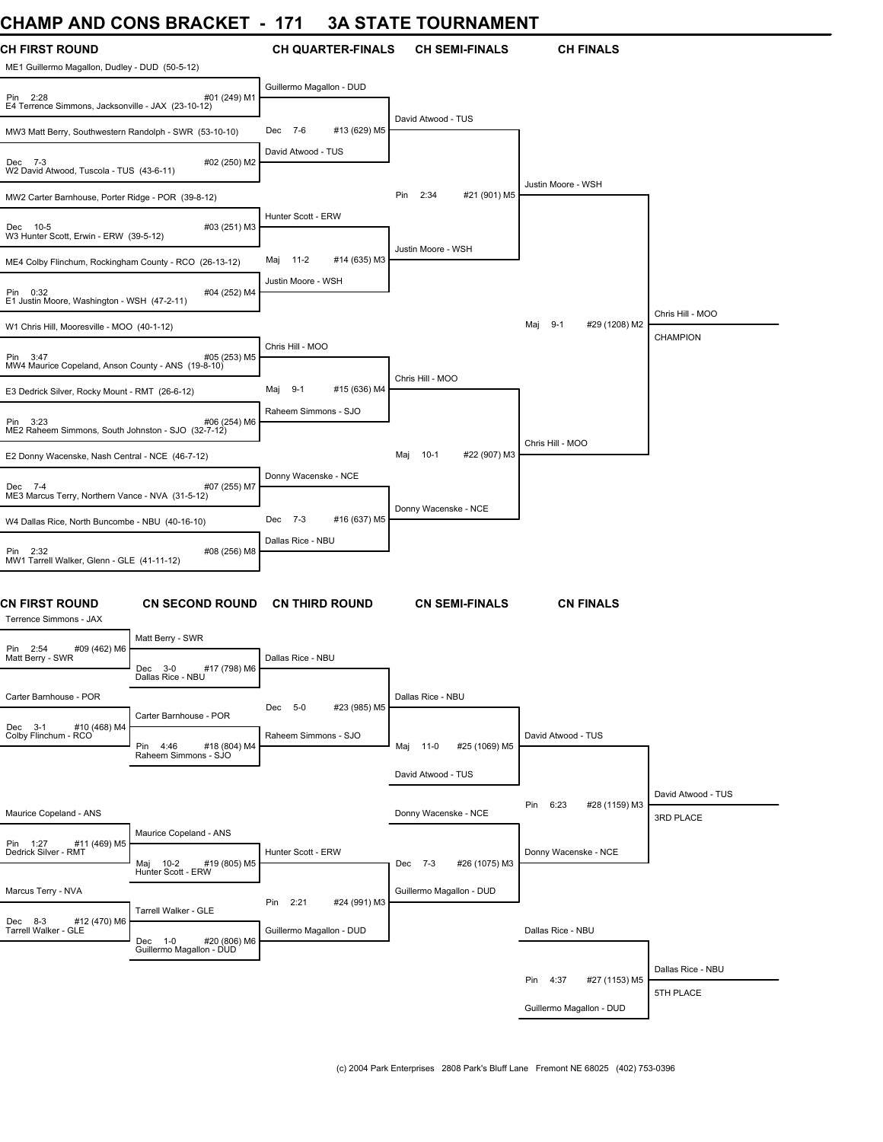# **CHAMP AND CONS BRACKET - 171 3A STATE TOURNAMENT**

| <b>CH FIRST ROUND</b><br>ME1 Guillermo Magallon, Dudley - DUD (50-5-12) |                                                     | <b>CH QUARTER-FINALS</b>    | <b>CH SEMI-FINALS</b>         | <b>CH FINALS</b>                |                                 |
|-------------------------------------------------------------------------|-----------------------------------------------------|-----------------------------|-------------------------------|---------------------------------|---------------------------------|
| Pin 2:28<br>E4 Terrence Simmons, Jacksonville - JAX (23-10-12)          | #01 (249) M1                                        | Guillermo Magallon - DUD    |                               |                                 |                                 |
| MW3 Matt Berry, Southwestern Randolph - SWR (53-10-10)                  |                                                     | #13 (629) M5<br>Dec 7-6     | David Atwood - TUS            |                                 |                                 |
| Dec 7-3<br>W2 David Atwood, Tuscola - TUS (43-6-11)                     | #02 (250) M2                                        | David Atwood - TUS          |                               | Justin Moore - WSH              |                                 |
| MW2 Carter Barnhouse, Porter Ridge - POR (39-8-12)                      |                                                     |                             | 2:34<br>Pin<br>#21 (901) M5   |                                 |                                 |
| Dec 10-5<br>W3 Hunter Scott, Erwin - ERW (39-5-12)                      | #03 (251) M3                                        | Hunter Scott - ERW          | Justin Moore - WSH            |                                 |                                 |
| ME4 Colby Flinchum, Rockingham County - RCO (26-13-12)                  |                                                     | #14 (635) M3<br>Maj<br>11-2 |                               |                                 |                                 |
| Pin 0:32<br>E1 Justin Moore, Washington - WSH (47-2-11)                 | #04 (252) M4                                        | Justin Moore - WSH          |                               |                                 | Chris Hill - MOO                |
| W1 Chris Hill, Mooresville - MOO (40-1-12)                              |                                                     |                             |                               | Maj<br>$9 - 1$<br>#29 (1208) M2 | CHAMPION                        |
| Pin 3:47<br>MW4 Maurice Copeland, Anson County - ANS (19-8-10)          | #05 (253) M5                                        | Chris Hill - MOO            | Chris Hill - MOO              |                                 |                                 |
| E3 Dedrick Silver, Rocky Mount - RMT (26-6-12)                          |                                                     | #15 (636) M4<br>Maj 9-1     |                               |                                 |                                 |
| Pin 3:23<br>ME2 Raheem Simmons, South Johnston - SJO (32-7-12)          | #06 (254) M6                                        | Raheem Simmons - SJO        |                               | Chris Hill - MOO                |                                 |
| E2 Donny Wacenske, Nash Central - NCE (46-7-12)                         |                                                     |                             | #22 (907) M3<br>$10-1$<br>Maj |                                 |                                 |
| Dec 7-4<br>ME3 Marcus Terry, Northern Vance - NVA (31-5-12)             | #07 (255) M7                                        | Donny Wacenske - NCE        | Donny Wacenske - NCE          |                                 |                                 |
| W4 Dallas Rice, North Buncombe - NBU (40-16-10)                         |                                                     | #16 (637) M5<br>Dec 7-3     |                               |                                 |                                 |
| Pin 2:32<br>MW1 Tarrell Walker, Glenn - GLE (41-11-12)                  | #08 (256) M8                                        | Dallas Rice - NBU           |                               |                                 |                                 |
| <b>CN FIRST ROUND</b><br>Terrence Simmons - JAX                         | <b>CN SECOND ROUND</b>                              | <b>CN THIRD ROUND</b>       | <b>CN SEMI-FINALS</b>         | <b>CN FINALS</b>                |                                 |
| #09 (462) M6<br>Pin 2:54                                                | Matt Berry - SWR                                    |                             |                               |                                 |                                 |
| Matt Berry - SWR                                                        | #17 (798) M6<br>Dec 3-0<br>Dallas Rice - NBU        | Dallas Rice - NBU           |                               |                                 |                                 |
| Carter Barnhouse - POR                                                  | Carter Barnhouse - POR                              | #23 (985) M5<br>5-0<br>Dec  | Dallas Rice - NBU             |                                 |                                 |
| Dec 3-1 #10 (468) M4<br>Colby Flinchum - RCO                            | #18 (804) M4<br>4:46<br>Pin<br>Raheem Simmons - SJO | Raheem Simmons - SJO        | #25 (1069) M5<br>Maj<br>11-0  | David Atwood - TUS              |                                 |
|                                                                         |                                                     |                             | David Atwood - TUS            |                                 |                                 |
| Maurice Copeland - ANS                                                  |                                                     |                             | Donny Wacenske - NCE          | 6:23<br>#28 (1159) M3<br>Pin    | David Atwood - TUS<br>3RD PLACE |
| Pin 1:27<br>#11 (469) M5<br>Dedrick Silver - RMT                        | Maurice Copeland - ANS                              | Hunter Scott - ERW          |                               | Donny Wacenske - NCE            |                                 |
|                                                                         | Maj 10-2<br>#19 (805) M5<br>Hunter Scott - ERW      |                             | #26 (1075) M3<br>Dec 7-3      |                                 |                                 |
| Marcus Terry - NVA<br>#12 (470) M6<br>Dec 8-3                           | Tarrell Walker - GLE                                | #24 (991) M3<br>2:21<br>Pin | Guillermo Magallon - DUD      |                                 |                                 |
| Tarrell Walker - GLE                                                    | Dec 1-0 #20 (806) M6<br>Guillermo Magallon - DUD    | Guillermo Magallon - DUD    |                               | Dallas Rice - NBU               |                                 |
|                                                                         |                                                     |                             |                               | 4:37<br>Pin<br>#27 (1153) M5    | Dallas Rice - NBU               |
|                                                                         |                                                     |                             |                               |                                 | 5TH PLACE                       |
|                                                                         |                                                     |                             |                               | Guillermo Magallon - DUD        |                                 |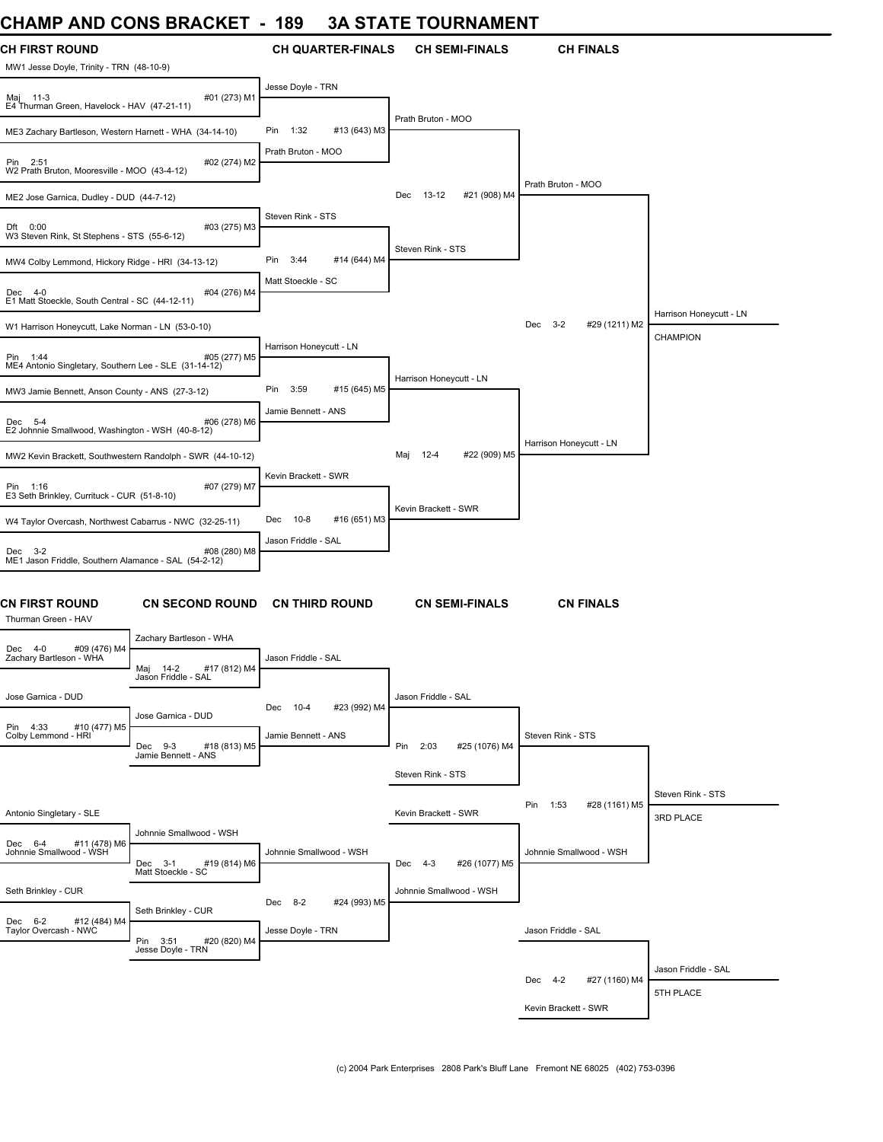# **CHAMP AND CONS BRACKET - 189 3A STATE TOURNAMENT**

| <b>CH FIRST ROUND</b><br>MW1 Jesse Doyle, Trinity - TRN (48-10-9) |                                                      | <b>CH QUARTER-FINALS</b>    | <b>CH SEMI-FINALS</b>           | <b>CH FINALS</b>                |                                |
|-------------------------------------------------------------------|------------------------------------------------------|-----------------------------|---------------------------------|---------------------------------|--------------------------------|
| Maj 11-3<br>E4 Thurman Green, Havelock - HAV (47-21-11)           | #01 (273) M1                                         | Jesse Doyle - TRN           |                                 |                                 |                                |
| ME3 Zachary Bartleson, Western Harnett - WHA (34-14-10)           |                                                      | Pin 1:32<br>#13 (643) M3    | Prath Bruton - MOO              |                                 |                                |
| Pin 2:51<br>W2 Prath Bruton, Mooresville - MOO (43-4-12)          | #02 (274) M2                                         | Prath Bruton - MOO          |                                 |                                 |                                |
| ME2 Jose Garnica, Dudley - DUD (44-7-12)                          |                                                      |                             | 13-12<br>#21 (908) M4<br>Dec    | Prath Bruton - MOO              |                                |
| Dft 0:00<br>W3 Steven Rink, St Stephens - STS (55-6-12)           | #03 (275) M3                                         | Steven Rink - STS           |                                 |                                 |                                |
| MW4 Colby Lemmond, Hickory Ridge - HRI (34-13-12)                 |                                                      | Pin<br>3:44<br>#14 (644) M4 | Steven Rink - STS               |                                 |                                |
| Dec 4-0<br>E1 Matt Stoeckle, South Central - SC (44-12-11)        | #04 (276) M4                                         | Matt Stoeckle - SC          |                                 |                                 |                                |
| W1 Harrison Honeycutt, Lake Norman - LN (53-0-10)                 |                                                      |                             |                                 | Dec<br>$3 - 2$<br>#29 (1211) M2 | Harrison Honeycutt - LN        |
| Pin 1:44<br>ME4 Antonio Singletary, Southern Lee - SLE (31-14-12) | #05 (277) M5                                         | Harrison Honeycutt - LN     |                                 |                                 | <b>CHAMPION</b>                |
| MW3 Jamie Bennett, Anson County - ANS (27-3-12)                   |                                                      | Pin<br>3:59<br>#15 (645) M5 | Harrison Honeycutt - LN         |                                 |                                |
| Dec 5-4<br>E2 Johnnie Smallwood, Washington - WSH (40-8-12)       | #06 (278) M6                                         | Jamie Bennett - ANS         |                                 |                                 |                                |
| MW2 Kevin Brackett, Southwestern Randolph - SWR (44-10-12)        |                                                      |                             | $12 - 4$<br>#22 (909) M5<br>Maj | Harrison Honeycutt - LN         |                                |
| Pin 1:16<br>E3 Seth Brinkley, Currituck - CUR (51-8-10)           | #07 (279) M7                                         | Kevin Brackett - SWR        |                                 |                                 |                                |
| W4 Taylor Overcash, Northwest Cabarrus - NWC (32-25-11)           |                                                      | 10-8<br>#16 (651) M3<br>Dec | Kevin Brackett - SWR            |                                 |                                |
| Dec 3-2<br>ME1 Jason Friddle, Southern Alamance - SAL (54-2-12)   | #08 (280) M8                                         | Jason Friddle - SAL         |                                 |                                 |                                |
| CN FIRST ROUND<br>Thurman Green - HAV                             | <b>CN SECOND ROUND</b>                               | <b>CN THIRD ROUND</b>       | <b>CN SEMI-FINALS</b>           | <b>CN FINALS</b>                |                                |
| #09 (476) M4<br>Dec 4-0                                           | Zachary Bartleson - WHA                              |                             |                                 |                                 |                                |
| Zachary Bartleson - WHA                                           | Maj<br>14-2<br>#17 (812) M4<br>Jason Friddle - SAL   | Jason Friddle - SAL         |                                 |                                 |                                |
| Jose Garnica - DUD                                                | Jose Garnica - DUD                                   | Dec 10-4<br>#23 (992) M4    | Jason Friddle - SAL             |                                 |                                |
| #10 (477) M5<br>Pin 4:33<br>Colby Lemmond - HRI                   | #18 (813) M5<br>Dec 9-3<br>Jamie Bennett - ANS       | Jamie Bennett - ANS         | Pin 2:03<br>#25 (1076) M4       | Steven Rink - STS               |                                |
|                                                                   |                                                      |                             | Steven Rink - STS               |                                 |                                |
| Antonio Singletary - SLE                                          |                                                      |                             | Kevin Brackett - SWR            | Pin 1:53<br>#28 (1161) M5       | Steven Rink - STS<br>3RD PLACE |
| #11 (478) M6<br>Dec 6-4<br>Johnnie Smallwood - WSH                | Johnnie Smallwood - WSH                              | Johnnie Smallwood - WSH     |                                 | Johnnie Smallwood - WSH         |                                |
|                                                                   | Dec<br>$3 - 1$<br>#19 (814) M6<br>Matt Stoeckle - SC |                             | #26 (1077) M5<br>Dec 4-3        |                                 |                                |
| Seth Brinkley - CUR                                               | Seth Brinkley - CUR                                  | Dec 8-2<br>#24 (993) M5     | Johnnie Smallwood - WSH         |                                 |                                |
| Dec 6-2 #12 (484) M4<br>Taylor Overcash - NWC                     | Pin 3:51<br>#20 (820) M4<br>Jesse Doyle - TRN        | Jesse Doyle - TRN           |                                 | Jason Friddle - SAL             |                                |
|                                                                   |                                                      |                             |                                 |                                 | Jason Friddle - SAL            |
|                                                                   |                                                      |                             |                                 | Dec 4-2<br>#27 (1160) M4        | 5TH PLACE                      |
|                                                                   |                                                      |                             |                                 | Kevin Brackett - SWR            |                                |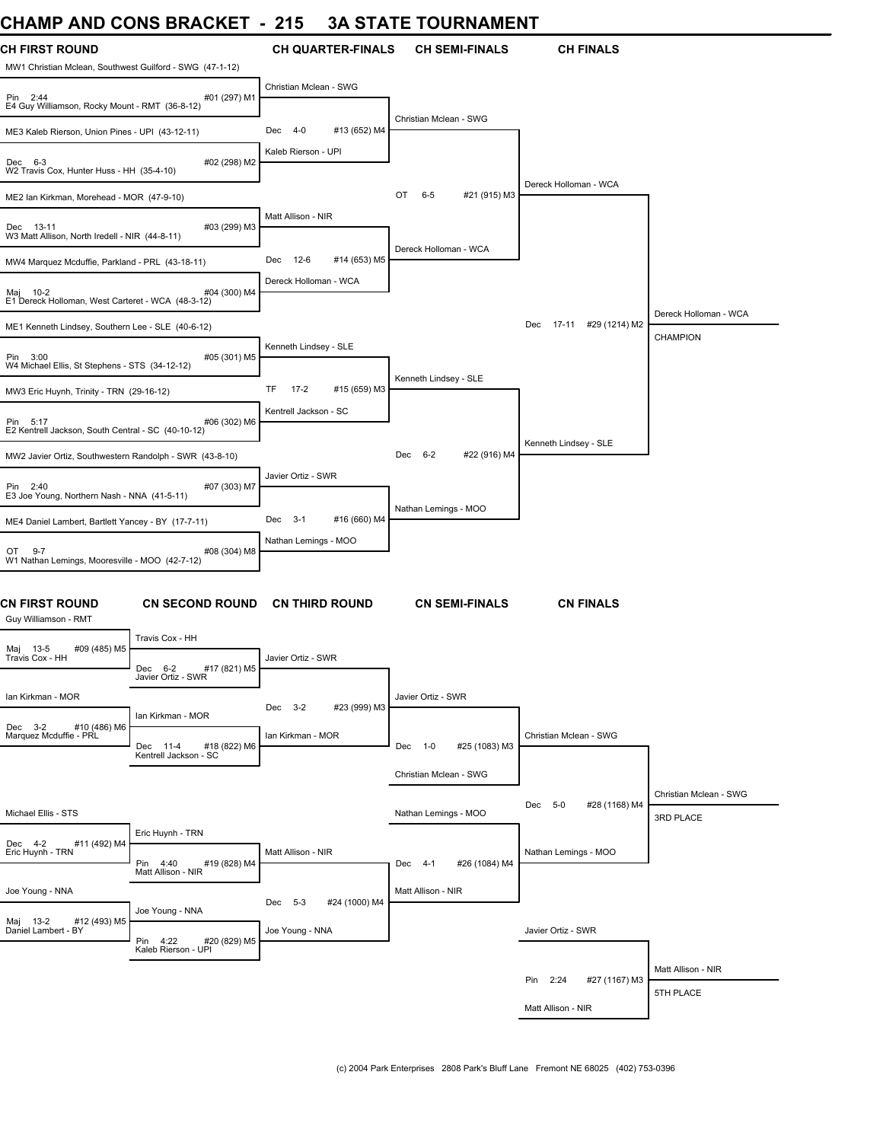### **CHAMP AND CONS BRACKET - 215 3A STATE TOURNAMENT**

| UNAIWIT AINU UUNJ DRAUNEI                                                         |                                                   | - 41J                                       | JA JIAIE IUUNNAMENI             |                               |                                     |
|-----------------------------------------------------------------------------------|---------------------------------------------------|---------------------------------------------|---------------------------------|-------------------------------|-------------------------------------|
| <b>CH FIRST ROUND</b><br>MW1 Christian Mclean, Southwest Guilford - SWG (47-1-12) |                                                   | <b>CH QUARTER-FINALS</b>                    | <b>CH SEMI-FINALS</b>           | <b>CH FINALS</b>              |                                     |
| #01 (297) M1<br>Pin 2:44<br>E4 Guy Williamson, Rocky Mount - RMT (36-8-12)        |                                                   | Christian Mclean - SWG                      |                                 |                               |                                     |
| ME3 Kaleb Rierson, Union Pines - UPI (43-12-11)                                   |                                                   | $4 - 0$<br>#13 (652) M4<br>Dec              | Christian Mclean - SWG          |                               |                                     |
| #02 (298) M2<br>Dec 6-3<br>W2 Travis Cox, Hunter Huss - HH (35-4-10)              |                                                   | Kaleb Rierson - UPI                         |                                 |                               |                                     |
| ME2 Ian Kirkman, Morehead - MOR (47-9-10)                                         |                                                   |                                             | OT<br>$6 - 5$<br>#21 (915) M3   | Dereck Holloman - WCA         |                                     |
| Dec 13-11<br>W3 Matt Allison, North Iredell - NIR (44-8-11)                       | #03 (299) M3                                      | Matt Allison - NIR                          |                                 |                               |                                     |
| MW4 Marquez Mcduffie, Parkland - PRL (43-18-11)                                   |                                                   | Dec 12-6<br>#14 (653) M5                    | Dereck Holloman - WCA           |                               |                                     |
| Maj 10-2<br>#04 (300) M4<br>E1 Dereck Holloman, West Carteret - WCA (48-3-12)     |                                                   | Dereck Holloman - WCA                       |                                 |                               | Dereck Holloman - WCA               |
| ME1 Kenneth Lindsey, Southern Lee - SLE (40-6-12)                                 |                                                   |                                             |                                 | 17-11 #29 (1214) M2<br>Dec    | CHAMPION                            |
| #05 (301) M5<br>Pin 3:00<br>W4 Michael Ellis, St Stephens - STS (34-12-12)        |                                                   | Kenneth Lindsey - SLE                       | Kenneth Lindsey - SLE           |                               |                                     |
| MW3 Eric Huynh, Trinity - TRN (29-16-12)                                          |                                                   | $17 - 2$<br>TF<br>#15 (659) M3              |                                 |                               |                                     |
| #06 (302) M6<br>Pin 5:17<br>E2 Kentrell Jackson, South Central - SC (40-10-12)    |                                                   | Kentrell Jackson - SC                       |                                 | Kenneth Lindsey - SLE         |                                     |
| MW2 Javier Ortiz, Southwestern Randolph - SWR (43-8-10)                           |                                                   |                                             | #22 (916) M4<br>Dec<br>$6 - 2$  |                               |                                     |
| #07 (303) M7<br>Pin 2:40<br>E3 Joe Young, Northern Nash - NNA (41-5-11)           |                                                   | Javier Ortiz - SWR                          | Nathan Lemings - MOO            |                               |                                     |
| ME4 Daniel Lambert, Bartlett Yancey - BY (17-7-11)                                |                                                   | #16 (660) M4<br>Dec 3-1                     |                                 |                               |                                     |
| #08 (304) M8<br>OT 9-7<br>W1 Nathan Lemings, Mooresville - MOO (42-7-12)          |                                                   | Nathan Lemings - MOO                        |                                 |                               |                                     |
| CN FIRST ROUND<br>Guy Williamson - RMT                                            | <b>CN SECOND ROUND</b>                            | <b>CN THIRD ROUND</b>                       | <b>CN SEMI-FINALS</b>           | <b>CN FINALS</b>              |                                     |
| Maj 13-5<br>Travis Cox - HH<br>#09 (485) M5                                       | Travis Cox - HH                                   |                                             |                                 |                               |                                     |
|                                                                                   | Dec 6-2<br>#17 (821) M5<br>Javier Ortiz - SWR     | Javier Ortiz - SWR                          |                                 |                               |                                     |
| Ian Kirkman - MOR                                                                 | Ian Kirkman - MOR                                 | #23 (999) M3<br>$Dec$ 3-2                   | Javier Ortiz - SWR              |                               |                                     |
| Dec 3-2<br>#10 (486) M6<br>Marquez Mcduffie - PRL                                 | #18 (822) M6<br>Dec 11-4<br>Kentrell Jackson - SC | Ian Kirkman - MOR                           | #25 (1083) M3<br>Dec<br>$1 - 0$ | Christian Mclean - SWG        |                                     |
|                                                                                   |                                                   |                                             | Christian Mclean - SWG          |                               |                                     |
| Michael Ellis - STS                                                               |                                                   |                                             | Nathan Lemings - MOO            | #28 (1168) M4<br>$5-0$<br>Dec | Christian Mclean - SWG<br>3RD PLACE |
| #11 (492) M4<br>Dec 4-2<br>Eric Huynh - TRN                                       | Eric Huynh - TRN<br>Pin 4:40<br>#19 (828) M4      | Matt Allison - NIR                          | #26 (1084) M4<br>Dec 4-1        | Nathan Lemings - MOO          |                                     |
| Joe Young - NNA                                                                   | Matt Allison - NIR                                |                                             | Matt Allison - NIR              |                               |                                     |
| #12 (493) M5<br>Maj 13-2<br>Daniel Lambert - BY                                   | Joe Young - NNA                                   | Dec 5-3<br>#24 (1000) M4<br>Joe Young - NNA |                                 | Javier Ortiz - SWR            |                                     |
|                                                                                   | Pin 4:22<br>#20 (829) M5<br>Kaleb Rierson - UPI   |                                             |                                 |                               |                                     |
|                                                                                   |                                                   |                                             |                                 | Pin 2:24<br>#27 (1167) M3     | Matt Allison - NIR                  |
|                                                                                   |                                                   |                                             |                                 | Matt Allison - NIR            | 5TH PLACE                           |
|                                                                                   |                                                   |                                             |                                 |                               |                                     |